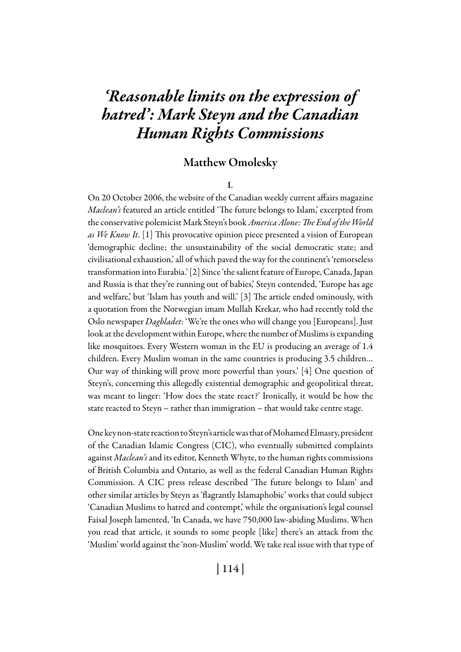# *'Reasonable limits on the expression of hatred': Mark Steyn and the Canadian Human Rights Commissions*

## Matthew Omolesky

I.

On 20 October 2006, the website of the Canadian weekly current affairs magazine *Maclean's* featured an article entitled 'The future belongs to Islam,' excerpted from the conservative polemicist Mark Steyn's book *America Alone: The End of the World as We Know It*. [1] This provocative opinion piece presented a vision of European 'demographic decline; the unsustainability of the social democratic state; and civilisational exhaustion,' all of which paved the way for the continent's 'remorseless transformation into Eurabia.' [2] Since 'the salient feature of Europe, Canada, Japan and Russia is that they're running out of babies,' Steyn contended, 'Europe has age and welfare,' but 'Islam has youth and will.' [3] The article ended ominously, with a quotation from the Norwegian imam Mullah Krekar, who had recently told the Oslo newspaper *Dagbladet*: 'We're the ones who will change you [Europeans]. Just look at the development within Europe, where the number of Muslims is expanding like mosquitoes. Every Western woman in the EU is producing an average of 1.4 children. Every Muslim woman in the same countries is producing 3.5 children… Our way of thinking will prove more powerful than yours.' [4] One question of Steyn's, concerning this allegedly existential demographic and geopolitical threat, was meant to linger: 'How does the state react?' Ironically, it would be how the state reacted to Steyn – rather than immigration – that would take centre stage.

One key non-state reaction to Steyn's article was that of Mohamed Elmasry, president of the Canadian Islamic Congress (CIC), who eventually submitted complaints against *Maclean's* and its editor, Kenneth Whyte, to the human rights commissions of British Columbia and Ontario, as well as the federal Canadian Human Rights Commission. A CIC press release described 'The future belongs to Islam' and other similar articles by Steyn as 'flagrantly Islamaphobic' works that could subject 'Canadian Muslims to hatred and contempt,' while the organisation's legal counsel Faisal Joseph lamented, 'In Canada, we have 750,000 law-abiding Muslims. When you read that article, it sounds to some people [like] there's an attack from the 'Muslim' world against the 'non-Muslim' world. We take real issue with that type of

| 114 |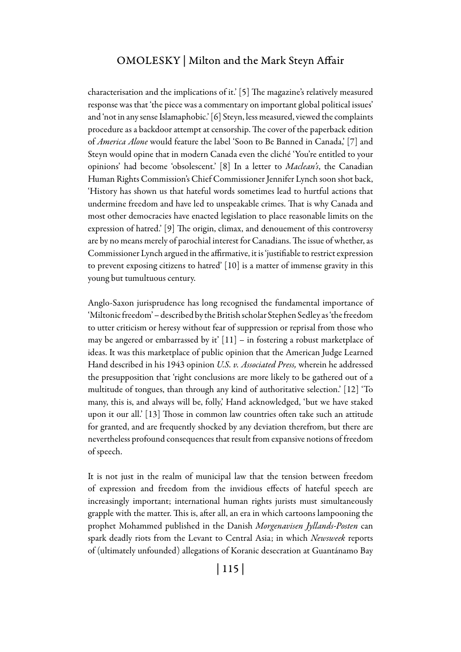characterisation and the implications of it.' [5] The magazine's relatively measured response was that 'the piece was a commentary on important global political issues' and 'not in any sense Islamaphobic.' [6] Steyn, less measured, viewed the complaints procedure as a backdoor attempt at censorship. The cover of the paperback edition of *America Alone* would feature the label 'Soon to Be Banned in Canada,' [7] and Steyn would opine that in modern Canada even the cliché 'You're entitled to your opinions' had become 'obsolescent.' [8] In a letter to *Maclean's*, the Canadian Human Rights Commission's Chief Commissioner Jennifer Lynch soon shot back, 'History has shown us that hateful words sometimes lead to hurtful actions that undermine freedom and have led to unspeakable crimes. That is why Canada and most other democracies have enacted legislation to place reasonable limits on the expression of hatred.' [9] The origin, climax, and denouement of this controversy are by no means merely of parochial interest for Canadians. The issue of whether, as Commissioner Lynch argued in the affirmative, it is 'justifiable to restrict expression to prevent exposing citizens to hatred' [10] is a matter of immense gravity in this young but tumultuous century.

Anglo-Saxon jurisprudence has long recognised the fundamental importance of 'Miltonic freedom' – described by the British scholar Stephen Sedley as 'the freedom to utter criticism or heresy without fear of suppression or reprisal from those who may be angered or embarrassed by it' [11] – in fostering a robust marketplace of ideas. It was this marketplace of public opinion that the American Judge Learned Hand described in his 1943 opinion *U.S. v. Associated Press,* wherein he addressed the presupposition that 'right conclusions are more likely to be gathered out of a multitude of tongues, than through any kind of authoritative selection.' [12] 'To many, this is, and always will be, folly,' Hand acknowledged, 'but we have staked upon it our all.' [13] Those in common law countries often take such an attitude for granted, and are frequently shocked by any deviation therefrom, but there are nevertheless profound consequences that result from expansive notions of freedom of speech.

It is not just in the realm of municipal law that the tension between freedom of expression and freedom from the invidious effects of hateful speech are increasingly important; international human rights jurists must simultaneously grapple with the matter. This is, after all, an era in which cartoons lampooning the prophet Mohammed published in the Danish *Morgenavisen Jyllands-Posten* can spark deadly riots from the Levant to Central Asia; in which *Newsweek* reports of (ultimately unfounded) allegations of Koranic desecration at Guantánamo Bay

| 115 |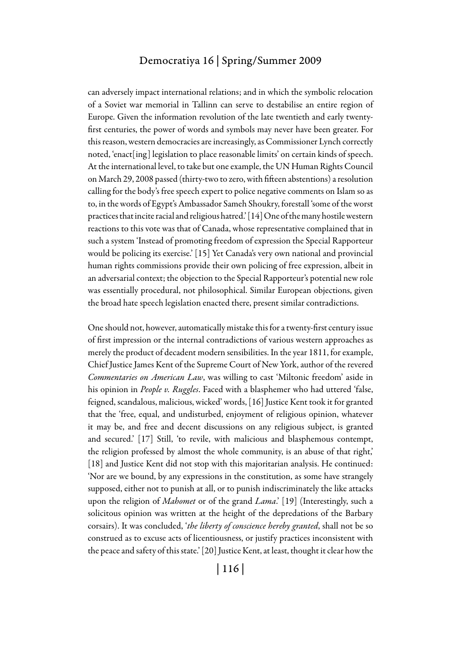can adversely impact international relations; and in which the symbolic relocation of a Soviet war memorial in Tallinn can serve to destabilise an entire region of Europe. Given the information revolution of the late twentieth and early twentyfirst centuries, the power of words and symbols may never have been greater. For this reason, western democracies are increasingly, as Commissioner Lynch correctly noted, 'enact[ing] legislation to place reasonable limits' on certain kinds of speech. At the international level, to take but one example, the UN Human Rights Council on March 29, 2008 passed (thirty-two to zero, with fifteen abstentions) a resolution calling for the body's free speech expert to police negative comments on Islam so as to, in the words of Egypt's Ambassador Sameh Shoukry, forestall 'some of the worst practices that incite racial and religious hatred.' [14] One of the many hostile western reactions to this vote was that of Canada, whose representative complained that in such a system 'Instead of promoting freedom of expression the Special Rapporteur would be policing its exercise.' [15] Yet Canada's very own national and provincial human rights commissions provide their own policing of free expression, albeit in an adversarial context; the objection to the Special Rapporteur's potential new role was essentially procedural, not philosophical. Similar European objections, given the broad hate speech legislation enacted there, present similar contradictions.

One should not, however, automatically mistake this for a twenty-first century issue of first impression or the internal contradictions of various western approaches as merely the product of decadent modern sensibilities. In the year 1811, for example, Chief Justice James Kent of the Supreme Court of New York, author of the revered *Commentaries on American Law*, was willing to cast 'Miltonic freedom' aside in his opinion in *People v. Ruggles*. Faced with a blasphemer who had uttered 'false, feigned, scandalous, malicious, wicked' words, [16] Justice Kent took it for granted that the 'free, equal, and undisturbed, enjoyment of religious opinion, whatever it may be, and free and decent discussions on any religious subject, is granted and secured.' [17] Still, 'to revile, with malicious and blasphemous contempt, the religion professed by almost the whole community, is an abuse of that right,' [18] and Justice Kent did not stop with this majoritarian analysis. He continued: 'Nor are we bound, by any expressions in the constitution, as some have strangely supposed, either not to punish at all, or to punish indiscriminately the like attacks upon the religion of *Mahomet* or of the grand *Lama*.' [19] (Interestingly, such a solicitous opinion was written at the height of the depredations of the Barbary corsairs). It was concluded, '*the liberty of conscience hereby granted*, shall not be so construed as to excuse acts of licentiousness, or justify practices inconsistent with the peace and safety of this state.' [20] Justice Kent, at least, thought it clear how the

| 116 |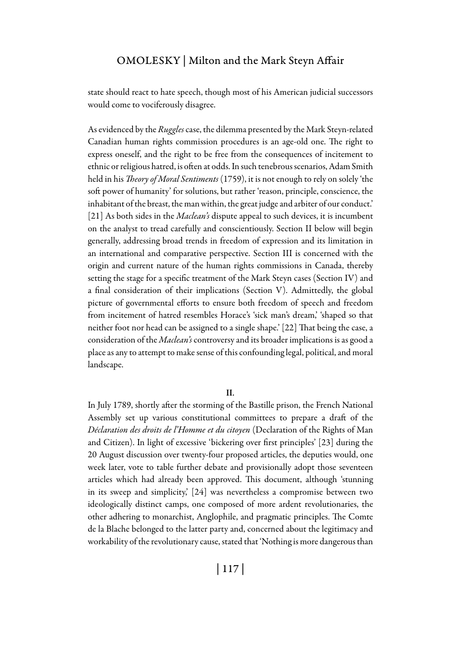state should react to hate speech, though most of his American judicial successors would come to vociferously disagree.

As evidenced by the *Ruggles* case, the dilemma presented by the Mark Steyn-related Canadian human rights commission procedures is an age-old one. The right to express oneself, and the right to be free from the consequences of incitement to ethnic or religious hatred, is often at odds. In such tenebrous scenarios, Adam Smith held in his *Theory of Moral Sentiments* (1759), it is not enough to rely on solely 'the soft power of humanity' for solutions, but rather 'reason, principle, conscience, the inhabitant of the breast, the man within, the great judge and arbiter of our conduct.' [21] As both sides in the *Maclean's* dispute appeal to such devices, it is incumbent on the analyst to tread carefully and conscientiously. Section II below will begin generally, addressing broad trends in freedom of expression and its limitation in an international and comparative perspective. Section III is concerned with the origin and current nature of the human rights commissions in Canada, thereby setting the stage for a specific treatment of the Mark Steyn cases (Section IV) and a final consideration of their implications (Section V). Admittedly, the global picture of governmental efforts to ensure both freedom of speech and freedom from incitement of hatred resembles Horace's 'sick man's dream,' 'shaped so that neither foot nor head can be assigned to a single shape.' [22] That being the case, a consideration of the *Maclean's* controversy and its broader implications is as good a place as any to attempt to make sense of this confounding legal, political, and moral landscape.

#### II.

In July 1789, shortly after the storming of the Bastille prison, the French National Assembly set up various constitutional committees to prepare a draft of the *Déclaration des droits de l'Homme et du citoyen* (Declaration of the Rights of Man and Citizen). In light of excessive 'bickering over first principles' [23] during the 20 August discussion over twenty-four proposed articles, the deputies would, one week later, vote to table further debate and provisionally adopt those seventeen articles which had already been approved. This document, although 'stunning in its sweep and simplicity,' [24] was nevertheless a compromise between two ideologically distinct camps, one composed of more ardent revolutionaries, the other adhering to monarchist, Anglophile, and pragmatic principles. The Comte de la Blache belonged to the latter party and, concerned about the legitimacy and workability of the revolutionary cause, stated that 'Nothing is more dangerous than

| 117 |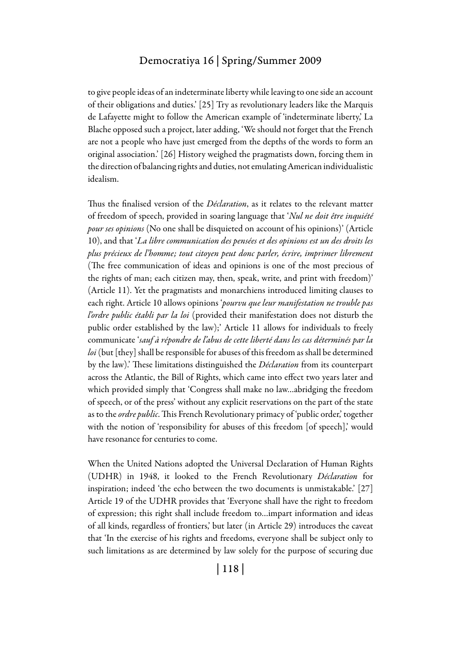to give people ideas of an indeterminate liberty while leaving to one side an account of their obligations and duties.' [25] Try as revolutionary leaders like the Marquis de Lafayette might to follow the American example of 'indeterminate liberty,' La Blache opposed such a project, later adding, 'We should not forget that the French are not a people who have just emerged from the depths of the words to form an original association.' [26] History weighed the pragmatists down, forcing them in the direction of balancing rights and duties, not emulating American individualistic idealism.

Thus the finalised version of the *Déclaration*, as it relates to the relevant matter of freedom of speech, provided in soaring language that '*Nul ne doit être inquiété pour ses opinions* (No one shall be disquieted on account of his opinions)' (Article 10), and that '*La libre communication des pensées et des opinions est un des droits les plus précieux de l'homme; tout citoyen peut donc parler, écrire, imprimer librement*  (The free communication of ideas and opinions is one of the most precious of the rights of man; each citizen may, then, speak, write, and print with freedom)' (Article 11). Yet the pragmatists and monarchiens introduced limiting clauses to each right. Article 10 allows opinions '*pourvu que leur manifestation ne trouble pas l'ordre public établi par la loi* (provided their manifestation does not disturb the public order established by the law);' Article 11 allows for individuals to freely communicate '*sauf à répondre de l'abus de cette liberté dans les cas déterminés par la loi* (but [they] shall be responsible for abuses of this freedom as shall be determined by the law).' These limitations distinguished the *Déclaration* from its counterpart across the Atlantic, the Bill of Rights, which came into effect two years later and which provided simply that 'Congress shall make no law…abridging the freedom of speech, or of the press' without any explicit reservations on the part of the state as to the *ordre public*. This French Revolutionary primacy of 'public order,' together with the notion of 'responsibility for abuses of this freedom [of speech],' would have resonance for centuries to come.

When the United Nations adopted the Universal Declaration of Human Rights (UDHR) in 1948, it looked to the French Revolutionary *Déclaration* for inspiration; indeed 'the echo between the two documents is unmistakable.' [27] Article 19 of the UDHR provides that 'Everyone shall have the right to freedom of expression; this right shall include freedom to…impart information and ideas of all kinds, regardless of frontiers,' but later (in Article 29) introduces the caveat that 'In the exercise of his rights and freedoms, everyone shall be subject only to such limitations as are determined by law solely for the purpose of securing due

| 118 |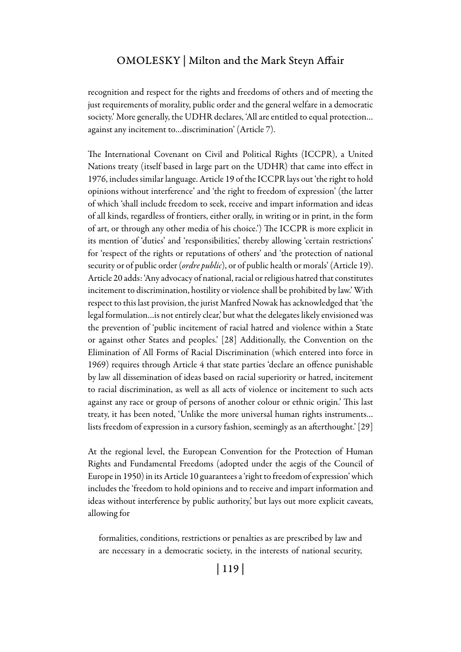recognition and respect for the rights and freedoms of others and of meeting the just requirements of morality, public order and the general welfare in a democratic society.' More generally, the UDHR declares, 'All are entitled to equal protection… against any incitement to…discrimination' (Article 7).

The International Covenant on Civil and Political Rights (ICCPR), a United Nations treaty (itself based in large part on the UDHR) that came into effect in 1976, includes similar language. Article 19 of the ICCPR lays out 'the right to hold opinions without interference' and 'the right to freedom of expression' (the latter of which 'shall include freedom to seek, receive and impart information and ideas of all kinds, regardless of frontiers, either orally, in writing or in print, in the form of art, or through any other media of his choice.') The ICCPR is more explicit in its mention of 'duties' and 'responsibilities,' thereby allowing 'certain restrictions' for 'respect of the rights or reputations of others' and 'the protection of national security or of public order (*ordre public*), or of public health or morals' (Article 19). Article 20 adds: 'Any advocacy of national, racial or religious hatred that constitutes incitement to discrimination, hostility or violence shall be prohibited by law.' With respect to this last provision, the jurist Manfred Nowak has acknowledged that 'the legal formulation…is not entirely clear,' but what the delegates likely envisioned was the prevention of 'public incitement of racial hatred and violence within a State or against other States and peoples.' [28] Additionally, the Convention on the Elimination of All Forms of Racial Discrimination (which entered into force in 1969) requires through Article 4 that state parties 'declare an offence punishable by law all dissemination of ideas based on racial superiority or hatred, incitement to racial discrimination, as well as all acts of violence or incitement to such acts against any race or group of persons of another colour or ethnic origin.' This last treaty, it has been noted, 'Unlike the more universal human rights instruments… lists freedom of expression in a cursory fashion, seemingly as an afterthought.' [29]

At the regional level, the European Convention for the Protection of Human Rights and Fundamental Freedoms (adopted under the aegis of the Council of Europe in 1950) in its Article 10 guarantees a 'right to freedom of expression' which includes the 'freedom to hold opinions and to receive and impart information and ideas without interference by public authority,' but lays out more explicit caveats, allowing for

formalities, conditions, restrictions or penalties as are prescribed by law and are necessary in a democratic society, in the interests of national security,

| 119 |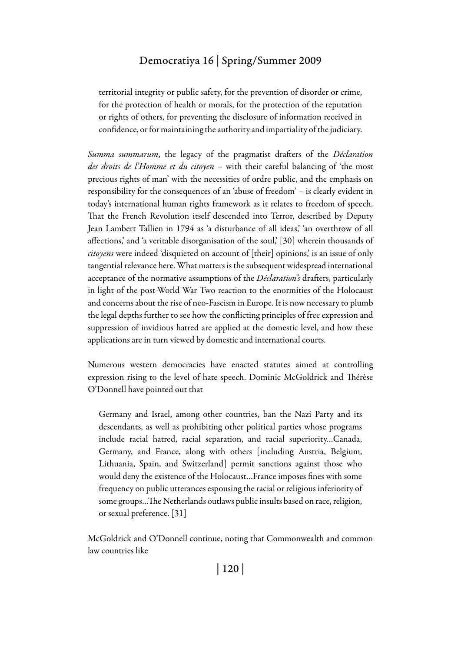territorial integrity or public safety, for the prevention of disorder or crime, for the protection of health or morals, for the protection of the reputation or rights of others, for preventing the disclosure of information received in confidence, or for maintaining the authority and impartiality of the judiciary.

*Summa summarum*, the legacy of the pragmatist drafters of the *Déclaration des droits de l'Homme et du citoyen* – with their careful balancing of 'the most precious rights of man' with the necessities of ordre public, and the emphasis on responsibility for the consequences of an 'abuse of freedom' – is clearly evident in today's international human rights framework as it relates to freedom of speech. That the French Revolution itself descended into Terror, described by Deputy Jean Lambert Tallien in 1794 as 'a disturbance of all ideas,' 'an overthrow of all affections,' and 'a veritable disorganisation of the soul,' [30] wherein thousands of *citoyens* were indeed 'disquieted on account of [their] opinions,' is an issue of only tangential relevance here. What matters is the subsequent widespread international acceptance of the normative assumptions of the *Déclaration's* drafters, particularly in light of the post-World War Two reaction to the enormities of the Holocaust and concerns about the rise of neo-Fascism in Europe. It is now necessary to plumb the legal depths further to see how the conflicting principles of free expression and suppression of invidious hatred are applied at the domestic level, and how these applications are in turn viewed by domestic and international courts.

Numerous western democracies have enacted statutes aimed at controlling expression rising to the level of hate speech. Dominic McGoldrick and Thérèse O'Donnell have pointed out that

Germany and Israel, among other countries, ban the Nazi Party and its descendants, as well as prohibiting other political parties whose programs include racial hatred, racial separation, and racial superiority…Canada, Germany, and France, along with others [including Austria, Belgium, Lithuania, Spain, and Switzerland] permit sanctions against those who would deny the existence of the Holocaust…France imposes fines with some frequency on public utterances espousing the racial or religious inferiority of some groups…The Netherlands outlaws public insults based on race, religion, or sexual preference. [31]

McGoldrick and O'Donnell continue, noting that Commonwealth and common law countries like

| 120 |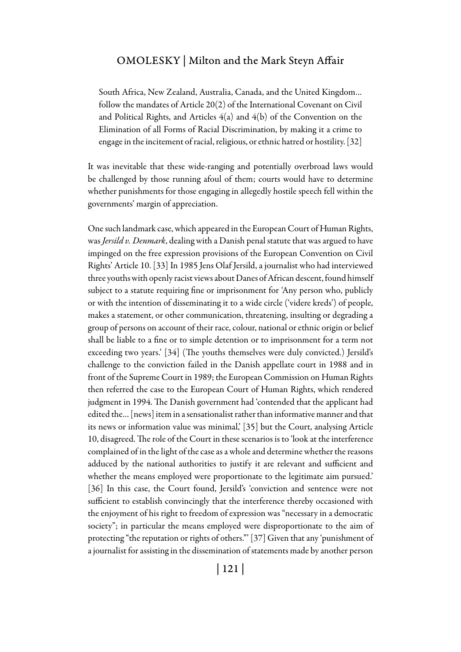South Africa, New Zealand, Australia, Canada, and the United Kingdom… follow the mandates of Article 20(2) of the International Covenant on Civil and Political Rights, and Articles  $4(a)$  and  $4(b)$  of the Convention on the Elimination of all Forms of Racial Discrimination, by making it a crime to engage in the incitement of racial, religious, or ethnic hatred or hostility. [32]

It was inevitable that these wide-ranging and potentially overbroad laws would be challenged by those running afoul of them; courts would have to determine whether punishments for those engaging in allegedly hostile speech fell within the governments' margin of appreciation.

One such landmark case, which appeared in the European Court of Human Rights, was *Jersild v. Denmark*, dealing with a Danish penal statute that was argued to have impinged on the free expression provisions of the European Convention on Civil Rights' Article 10. [33] In 1985 Jens Olaf Jersild, a journalist who had interviewed three youths with openly racist views about Danes of African descent, found himself subject to a statute requiring fine or imprisonment for 'Any person who, publicly or with the intention of disseminating it to a wide circle ('videre kreds') of people, makes a statement, or other communication, threatening, insulting or degrading a group of persons on account of their race, colour, national or ethnic origin or belief shall be liable to a fine or to simple detention or to imprisonment for a term not exceeding two years.' [34] (The youths themselves were duly convicted.) Jersild's challenge to the conviction failed in the Danish appellate court in 1988 and in front of the Supreme Court in 1989; the European Commission on Human Rights then referred the case to the European Court of Human Rights, which rendered judgment in 1994. The Danish government had 'contended that the applicant had edited the… [news] item in a sensationalist rather than informative manner and that its news or information value was minimal,' [35] but the Court, analysing Article 10, disagreed. The role of the Court in these scenarios is to 'look at the interference complained of in the light of the case as a whole and determine whether the reasons adduced by the national authorities to justify it are relevant and sufficient and whether the means employed were proportionate to the legitimate aim pursued.' [36] In this case, the Court found, Jersild's 'conviction and sentence were not sufficient to establish convincingly that the interference thereby occasioned with the enjoyment of his right to freedom of expression was "necessary in a democratic society"; in particular the means employed were disproportionate to the aim of protecting "the reputation or rights of others."' [37] Given that any 'punishment of a journalist for assisting in the dissemination of statements made by another person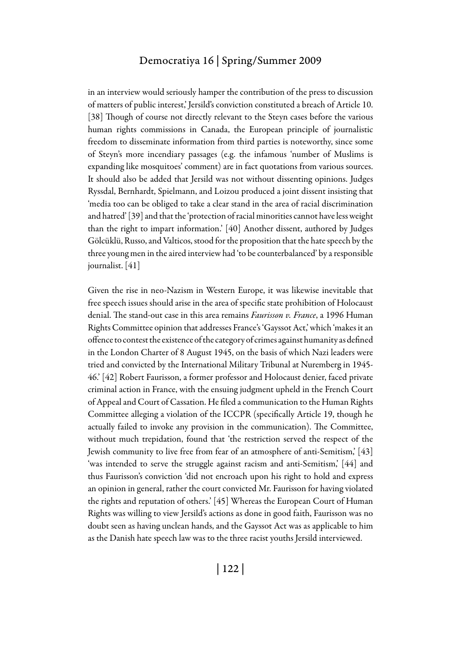in an interview would seriously hamper the contribution of the press to discussion of matters of public interest,' Jersild's conviction constituted a breach of Article 10. [38] Though of course not directly relevant to the Steyn cases before the various human rights commissions in Canada, the European principle of journalistic freedom to disseminate information from third parties is noteworthy, since some of Steyn's more incendiary passages (e.g. the infamous 'number of Muslims is expanding like mosquitoes' comment) are in fact quotations from various sources. It should also be added that Jersild was not without dissenting opinions. Judges Ryssdal, Bernhardt, Spielmann, and Loizou produced a joint dissent insisting that 'media too can be obliged to take a clear stand in the area of racial discrimination and hatred' [39] and that the 'protection of racial minorities cannot have less weight than the right to impart information.' [40] Another dissent, authored by Judges Gölcüklü, Russo, and Valticos, stood for the proposition that the hate speech by the three young men in the aired interview had 'to be counterbalanced' by a responsible journalist. [41]

Given the rise in neo-Nazism in Western Europe, it was likewise inevitable that free speech issues should arise in the area of specific state prohibition of Holocaust denial. The stand-out case in this area remains *Faurisson v. France*, a 1996 Human Rights Committee opinion that addresses France's 'Gayssot Act,' which 'makes it an offence to contest the existence of the category of crimes against humanity as defined in the London Charter of 8 August 1945, on the basis of which Nazi leaders were tried and convicted by the International Military Tribunal at Nuremberg in 1945- 46.' [42] Robert Faurisson, a former professor and Holocaust denier, faced private criminal action in France, with the ensuing judgment upheld in the French Court of Appeal and Court of Cassation. He filed a communication to the Human Rights Committee alleging a violation of the ICCPR (specifically Article 19, though he actually failed to invoke any provision in the communication). The Committee, without much trepidation, found that 'the restriction served the respect of the Jewish community to live free from fear of an atmosphere of anti-Semitism,' [43] 'was intended to serve the struggle against racism and anti-Semitism,' [44] and thus Faurisson's conviction 'did not encroach upon his right to hold and express an opinion in general, rather the court convicted Mr. Faurisson for having violated the rights and reputation of others.' [45] Whereas the European Court of Human Rights was willing to view Jersild's actions as done in good faith, Faurisson was no doubt seen as having unclean hands, and the Gayssot Act was as applicable to him as the Danish hate speech law was to the three racist youths Jersild interviewed.

| 122 |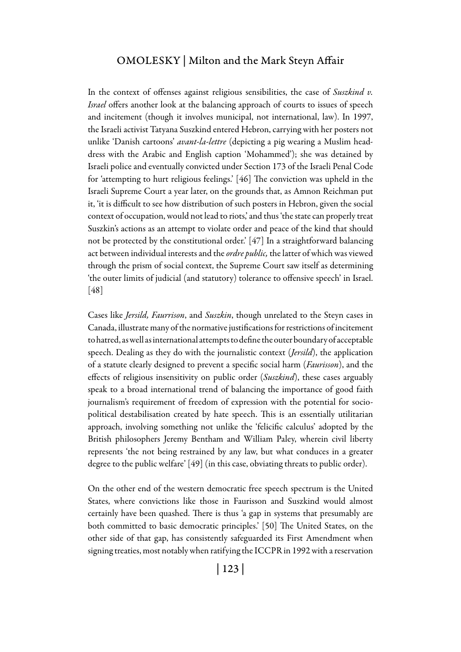In the context of offenses against religious sensibilities, the case of *Suszkind v. Israel* offers another look at the balancing approach of courts to issues of speech and incitement (though it involves municipal, not international, law). In 1997, the Israeli activist Tatyana Suszkind entered Hebron, carrying with her posters not unlike 'Danish cartoons' *avant-la-lettre* (depicting a pig wearing a Muslim headdress with the Arabic and English caption 'Mohammed'); she was detained by Israeli police and eventually convicted under Section 173 of the Israeli Penal Code for 'attempting to hurt religious feelings.' [46] The conviction was upheld in the Israeli Supreme Court a year later, on the grounds that, as Amnon Reichman put it, 'it is difficult to see how distribution of such posters in Hebron, given the social context of occupation, would not lead to riots,' and thus 'the state can properly treat Suszkin's actions as an attempt to violate order and peace of the kind that should not be protected by the constitutional order.' [47] In a straightforward balancing act between individual interests and the *ordre public,* the latter of which was viewed through the prism of social context, the Supreme Court saw itself as determining 'the outer limits of judicial (and statutory) tolerance to offensive speech' in Israel. [48]

Cases like *Jersild, Faurrison*, and *Suszkin*, though unrelated to the Steyn cases in Canada, illustrate many of the normative justifications for restrictions of incitement to hatred, as well as international attempts to define the outer boundary of acceptable speech. Dealing as they do with the journalistic context (*Jersild*), the application of a statute clearly designed to prevent a specific social harm (*Faurisson*), and the effects of religious insensitivity on public order (*Suszkind*), these cases arguably speak to a broad international trend of balancing the importance of good faith journalism's requirement of freedom of expression with the potential for sociopolitical destabilisation created by hate speech. This is an essentially utilitarian approach, involving something not unlike the 'felicific calculus' adopted by the British philosophers Jeremy Bentham and William Paley, wherein civil liberty represents 'the not being restrained by any law, but what conduces in a greater degree to the public welfare' [49] (in this case, obviating threats to public order).

On the other end of the western democratic free speech spectrum is the United States, where convictions like those in Faurisson and Suszkind would almost certainly have been quashed. There is thus 'a gap in systems that presumably are both committed to basic democratic principles.' [50] The United States, on the other side of that gap, has consistently safeguarded its First Amendment when signing treaties, most notably when ratifying the ICCPR in 1992 with a reservation

| 123 |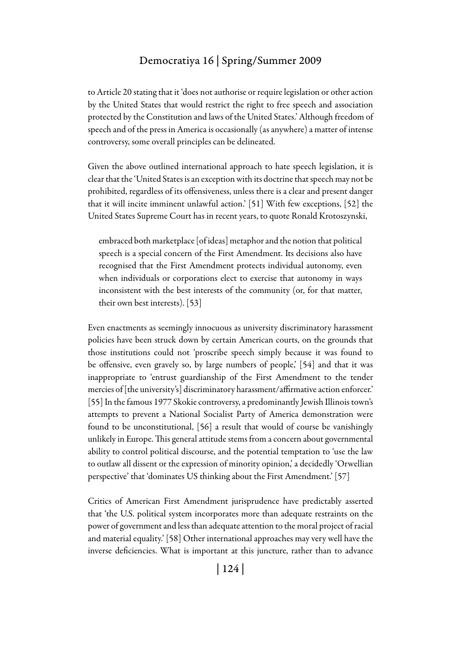to Article 20 stating that it 'does not authorise or require legislation or other action by the United States that would restrict the right to free speech and association protected by the Constitution and laws of the United States.' Although freedom of speech and of the press in America is occasionally (as anywhere) a matter of intense controversy, some overall principles can be delineated.

Given the above outlined international approach to hate speech legislation, it is clear that the 'United States is an exception with its doctrine that speech may not be prohibited, regardless of its offensiveness, unless there is a clear and present danger that it will incite imminent unlawful action.' [51] With few exceptions, [52] the United States Supreme Court has in recent years, to quote Ronald Krotoszynski,

embraced both marketplace [of ideas] metaphor and the notion that political speech is a special concern of the First Amendment. Its decisions also have recognised that the First Amendment protects individual autonomy, even when individuals or corporations elect to exercise that autonomy in ways inconsistent with the best interests of the community (or, for that matter, their own best interests). [53]

Even enactments as seemingly innocuous as university discriminatory harassment policies have been struck down by certain American courts, on the grounds that those institutions could not 'proscribe speech simply because it was found to be offensive, even gravely so, by large numbers of people, [54] and that it was inappropriate to 'entrust guardianship of the First Amendment to the tender mercies of [the university's] discriminatory harassment/affirmative action enforcer.' [55] In the famous 1977 Skokie controversy, a predominantly Jewish Illinois town's attempts to prevent a National Socialist Party of America demonstration were found to be unconstitutional, [56] a result that would of course be vanishingly unlikely in Europe. This general attitude stems from a concern about governmental ability to control political discourse, and the potential temptation to 'use the law to outlaw all dissent or the expression of minority opinion,' a decidedly 'Orwellian perspective' that 'dominates US thinking about the First Amendment.' [57]

Critics of American First Amendment jurisprudence have predictably asserted that 'the U.S. political system incorporates more than adequate restraints on the power of government and less than adequate attention to the moral project of racial and material equality.' [58] Other international approaches may very well have the inverse deficiencies. What is important at this juncture, rather than to advance

| 124 |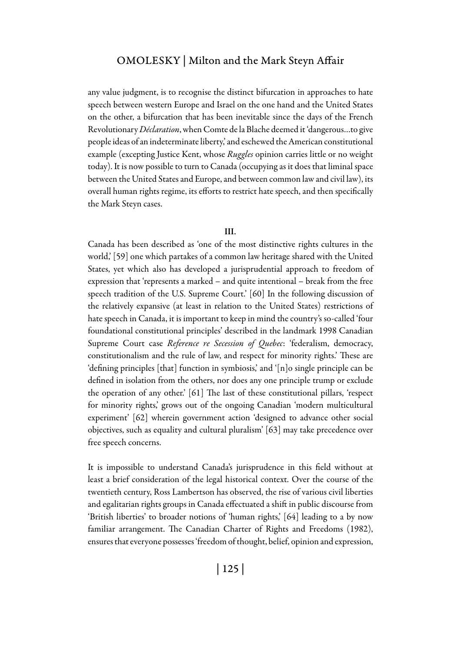any value judgment, is to recognise the distinct bifurcation in approaches to hate speech between western Europe and Israel on the one hand and the United States on the other, a bifurcation that has been inevitable since the days of the French Revolutionary *Déclaration*, when Comte de la Blache deemed it 'dangerous…to give people ideas of an indeterminate liberty,' and eschewed the American constitutional example (excepting Justice Kent, whose *Ruggles* opinion carries little or no weight today). It is now possible to turn to Canada (occupying as it does that liminal space between the United States and Europe, and between common law and civil law), its overall human rights regime, its efforts to restrict hate speech, and then specifically the Mark Steyn cases.

#### III.

Canada has been described as 'one of the most distinctive rights cultures in the world,' [59] one which partakes of a common law heritage shared with the United States, yet which also has developed a jurisprudential approach to freedom of expression that 'represents a marked – and quite intentional – break from the free speech tradition of the U.S. Supreme Court.' [60] In the following discussion of the relatively expansive (at least in relation to the United States) restrictions of hate speech in Canada, it is important to keep in mind the country's so-called 'four foundational constitutional principles' described in the landmark 1998 Canadian Supreme Court case *Reference re Secession of Quebec*: 'federalism, democracy, constitutionalism and the rule of law, and respect for minority rights.' These are 'defining principles [that] function in symbiosis,' and '[n]o single principle can be defined in isolation from the others, nor does any one principle trump or exclude the operation of any other.' [61] The last of these constitutional pillars, 'respect for minority rights,' grows out of the ongoing Canadian 'modern multicultural experiment' [62] wherein government action 'designed to advance other social objectives, such as equality and cultural pluralism' [63] may take precedence over free speech concerns.

It is impossible to understand Canada's jurisprudence in this field without at least a brief consideration of the legal historical context. Over the course of the twentieth century, Ross Lambertson has observed, the rise of various civil liberties and egalitarian rights groups in Canada effectuated a shift in public discourse from 'British liberties' to broader notions of 'human rights,' [64] leading to a by now familiar arrangement. The Canadian Charter of Rights and Freedoms (1982), ensures that everyone possesses 'freedom of thought, belief, opinion and expression,

| 125 |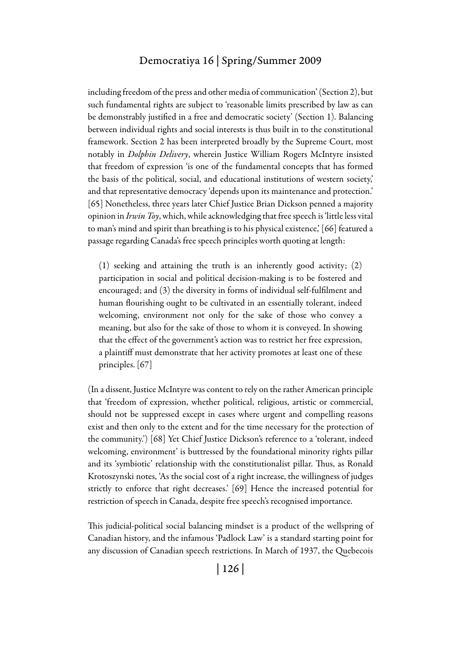including freedom of the press and other media of communication' (Section 2), but such fundamental rights are subject to 'reasonable limits prescribed by law as can be demonstrably justified in a free and democratic society' (Section 1). Balancing between individual rights and social interests is thus built in to the constitutional framework. Section 2 has been interpreted broadly by the Supreme Court, most notably in *Dolphin Delivery*, wherein Justice William Rogers McIntyre insisted that freedom of expression 'is one of the fundamental concepts that has formed the basis of the political, social, and educational institutions of western society,' and that representative democracy 'depends upon its maintenance and protection.' [65] Nonetheless, three years later Chief Justice Brian Dickson penned a majority opinion in *Irwin Toy*, which, while acknowledging that free speech is 'little less vital to man's mind and spirit than breathing is to his physical existence,' [66] featured a passage regarding Canada's free speech principles worth quoting at length:

(1) seeking and attaining the truth is an inherently good activity; (2) participation in social and political decision-making is to be fostered and encouraged; and (3) the diversity in forms of individual self-fulfilment and human flourishing ought to be cultivated in an essentially tolerant, indeed welcoming, environment not only for the sake of those who convey a meaning, but also for the sake of those to whom it is conveyed. In showing that the effect of the government's action was to restrict her free expression, a plaintiff must demonstrate that her activity promotes at least one of these principles. [67]

(In a dissent, Justice McIntyre was content to rely on the rather American principle that 'freedom of expression, whether political, religious, artistic or commercial, should not be suppressed except in cases where urgent and compelling reasons exist and then only to the extent and for the time necessary for the protection of the community.') [68] Yet Chief Justice Dickson's reference to a 'tolerant, indeed welcoming, environment' is buttressed by the foundational minority rights pillar and its 'symbiotic' relationship with the constitutionalist pillar. Thus, as Ronald Krotoszynski notes, 'As the social cost of a right increase, the willingness of judges strictly to enforce that right decreases.' [69] Hence the increased potential for restriction of speech in Canada, despite free speech's recognised importance.

This judicial-political social balancing mindset is a product of the wellspring of Canadian history, and the infamous 'Padlock Law' is a standard starting point for any discussion of Canadian speech restrictions. In March of 1937, the Quebecois

| 126 |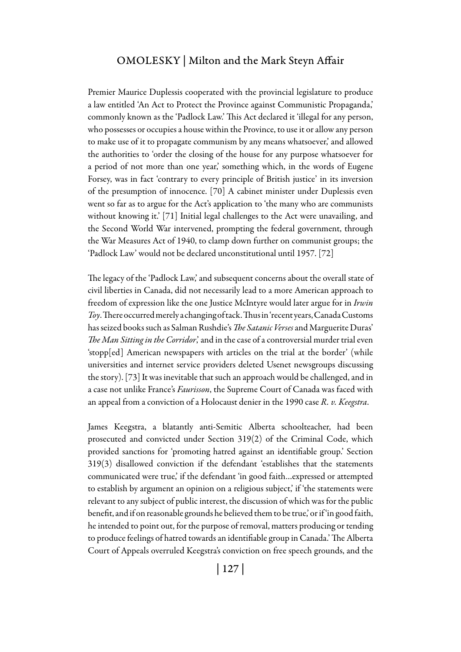Premier Maurice Duplessis cooperated with the provincial legislature to produce a law entitled 'An Act to Protect the Province against Communistic Propaganda,' commonly known as the 'Padlock Law.' This Act declared it 'illegal for any person, who possesses or occupies a house within the Province, to use it or allow any person to make use of it to propagate communism by any means whatsoever,' and allowed the authorities to 'order the closing of the house for any purpose whatsoever for a period of not more than one year,' something which, in the words of Eugene Forsey, was in fact 'contrary to every principle of British justice' in its inversion of the presumption of innocence. [70] A cabinet minister under Duplessis even went so far as to argue for the Act's application to 'the many who are communists without knowing it.' [71] Initial legal challenges to the Act were unavailing, and the Second World War intervened, prompting the federal government, through the War Measures Act of 1940, to clamp down further on communist groups; the 'Padlock Law' would not be declared unconstitutional until 1957. [72]

The legacy of the 'Padlock Law,' and subsequent concerns about the overall state of civil liberties in Canada, did not necessarily lead to a more American approach to freedom of expression like the one Justice McIntyre would later argue for in *Irwin Toy*. There occurred merely a changing of tack. Thus in 'recent years, Canada Customs has seized books such as Salman Rushdie's *The Satanic Verses* and Marguerite Duras' *The Man Sitting in the Corridor*,' and in the case of a controversial murder trial even 'stopp[ed] American newspapers with articles on the trial at the border' (while universities and internet service providers deleted Usenet newsgroups discussing the story). [73] It was inevitable that such an approach would be challenged, and in a case not unlike France's *Faurisson*, the Supreme Court of Canada was faced with an appeal from a conviction of a Holocaust denier in the 1990 case *R. v. Keegstra*.

James Keegstra, a blatantly anti-Semitic Alberta schoolteacher, had been prosecuted and convicted under Section 319(2) of the Criminal Code, which provided sanctions for 'promoting hatred against an identifiable group.' Section 319(3) disallowed conviction if the defendant 'establishes that the statements communicated were true,' if the defendant 'in good faith…expressed or attempted to establish by argument an opinion on a religious subject,' if 'the statements were relevant to any subject of public interest, the discussion of which was for the public benefit, and if on reasonable grounds he believed them to be true,' or if 'in good faith, he intended to point out, for the purpose of removal, matters producing or tending to produce feelings of hatred towards an identifiable group in Canada.' The Alberta Court of Appeals overruled Keegstra's conviction on free speech grounds, and the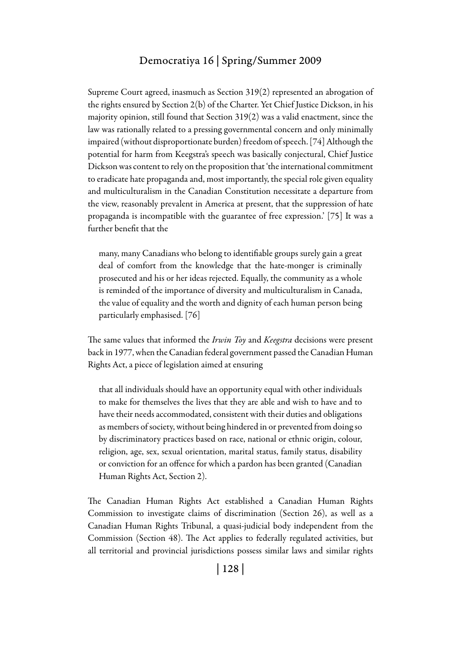Supreme Court agreed, inasmuch as Section 319(2) represented an abrogation of the rights ensured by Section 2(b) of the Charter. Yet Chief Justice Dickson, in his majority opinion, still found that Section 319(2) was a valid enactment, since the law was rationally related to a pressing governmental concern and only minimally impaired (without disproportionate burden) freedom of speech. [74] Although the potential for harm from Keegstra's speech was basically conjectural, Chief Justice Dickson was content to rely on the proposition that 'the international commitment to eradicate hate propaganda and, most importantly, the special role given equality and multiculturalism in the Canadian Constitution necessitate a departure from the view, reasonably prevalent in America at present, that the suppression of hate propaganda is incompatible with the guarantee of free expression.' [75] It was a further benefit that the

many, many Canadians who belong to identifiable groups surely gain a great deal of comfort from the knowledge that the hate-monger is criminally prosecuted and his or her ideas rejected. Equally, the community as a whole is reminded of the importance of diversity and multiculturalism in Canada, the value of equality and the worth and dignity of each human person being particularly emphasised. [76]

The same values that informed the *Irwin Toy* and *Keegstra* decisions were present back in 1977, when the Canadian federal government passed the Canadian Human Rights Act, a piece of legislation aimed at ensuring

that all individuals should have an opportunity equal with other individuals to make for themselves the lives that they are able and wish to have and to have their needs accommodated, consistent with their duties and obligations as members of society, without being hindered in or prevented from doing so by discriminatory practices based on race, national or ethnic origin, colour, religion, age, sex, sexual orientation, marital status, family status, disability or conviction for an offence for which a pardon has been granted (Canadian Human Rights Act, Section 2).

The Canadian Human Rights Act established a Canadian Human Rights Commission to investigate claims of discrimination (Section 26), as well as a Canadian Human Rights Tribunal, a quasi-judicial body independent from the Commission (Section 48). The Act applies to federally regulated activities, but all territorial and provincial jurisdictions possess similar laws and similar rights

| 128 |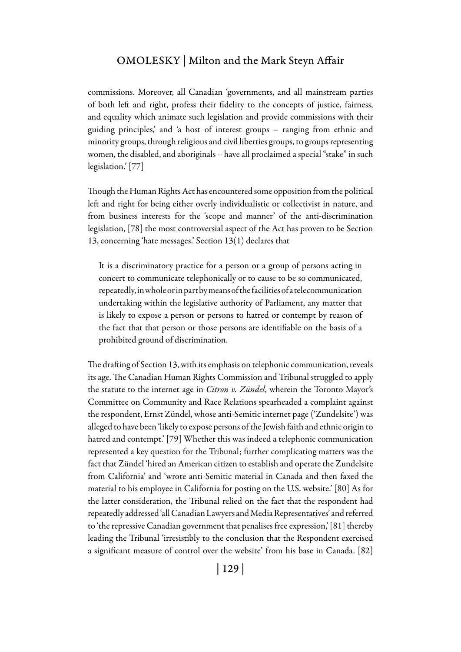commissions. Moreover, all Canadian 'governments, and all mainstream parties of both left and right, profess their fidelity to the concepts of justice, fairness, and equality which animate such legislation and provide commissions with their guiding principles,' and 'a host of interest groups – ranging from ethnic and minority groups, through religious and civil liberties groups, to groups representing women, the disabled, and aboriginals – have all proclaimed a special "stake" in such legislation.' [77]

Though the Human Rights Act has encountered some opposition from the political left and right for being either overly individualistic or collectivist in nature, and from business interests for the 'scope and manner' of the anti-discrimination legislation, [78] the most controversial aspect of the Act has proven to be Section 13, concerning 'hate messages.' Section 13(1) declares that

It is a discriminatory practice for a person or a group of persons acting in concert to communicate telephonically or to cause to be so communicated, repeatedly, in whole or in part by means of the facilities of a telecommunication undertaking within the legislative authority of Parliament, any matter that is likely to expose a person or persons to hatred or contempt by reason of the fact that that person or those persons are identifiable on the basis of a prohibited ground of discrimination.

The drafting of Section 13, with its emphasis on telephonic communication, reveals its age. The Canadian Human Rights Commission and Tribunal struggled to apply the statute to the internet age in *Citron v. Zündel*, wherein the Toronto Mayor's Committee on Community and Race Relations spearheaded a complaint against the respondent, Ernst Zündel, whose anti-Semitic internet page ('Zundelsite') was alleged to have been 'likely to expose persons of the Jewish faith and ethnic origin to hatred and contempt.' [79] Whether this was indeed a telephonic communication represented a key question for the Tribunal; further complicating matters was the fact that Zündel 'hired an American citizen to establish and operate the Zundelsite from California' and 'wrote anti-Semitic material in Canada and then faxed the material to his employee in California for posting on the U.S. website.' [80] As for the latter consideration, the Tribunal relied on the fact that the respondent had repeatedly addressed 'all Canadian Lawyers and Media Representatives' and referred to 'the repressive Canadian government that penalises free expression,' [81] thereby leading the Tribunal 'irresistibly to the conclusion that the Respondent exercised a significant measure of control over the website' from his base in Canada. [82]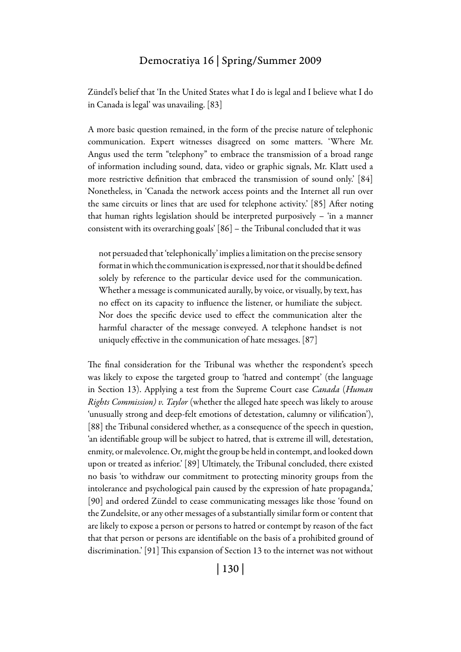Zündel's belief that 'In the United States what I do is legal and I believe what I do in Canada is legal' was unavailing. [83]

A more basic question remained, in the form of the precise nature of telephonic communication. Expert witnesses disagreed on some matters. 'Where Mr. Angus used the term "telephony" to embrace the transmission of a broad range of information including sound, data, video or graphic signals, Mr. Klatt used a more restrictive definition that embraced the transmission of sound only.' [84] Nonetheless, in 'Canada the network access points and the Internet all run over the same circuits or lines that are used for telephone activity.' [85] After noting that human rights legislation should be interpreted purposively – 'in a manner consistent with its overarching goals' [86] – the Tribunal concluded that it was

not persuaded that 'telephonically' implies a limitation on the precise sensory format in which the communication is expressed, nor that it should be defined solely by reference to the particular device used for the communication. Whether a message is communicated aurally, by voice, or visually, by text, has no effect on its capacity to influence the listener, or humiliate the subject. Nor does the specific device used to effect the communication alter the harmful character of the message conveyed. A telephone handset is not uniquely effective in the communication of hate messages. [87]

The final consideration for the Tribunal was whether the respondent's speech was likely to expose the targeted group to 'hatred and contempt' (the language in Section 13). Applying a test from the Supreme Court case *Canada* (*Human Rights Commission) v. Taylor* (whether the alleged hate speech was likely to arouse 'unusually strong and deep-felt emotions of detestation, calumny or vilification'), [88] the Tribunal considered whether, as a consequence of the speech in question, 'an identifiable group will be subject to hatred, that is extreme ill will, detestation, enmity, or malevolence. Or, might the group be held in contempt, and looked down upon or treated as inferior.' [89] Ultimately, the Tribunal concluded, there existed no basis 'to withdraw our commitment to protecting minority groups from the intolerance and psychological pain caused by the expression of hate propaganda,' [90] and ordered Zündel to cease communicating messages like those 'found on the Zundelsite, or any other messages of a substantially similar form or content that are likely to expose a person or persons to hatred or contempt by reason of the fact that that person or persons are identifiable on the basis of a prohibited ground of discrimination.' [91] This expansion of Section 13 to the internet was not without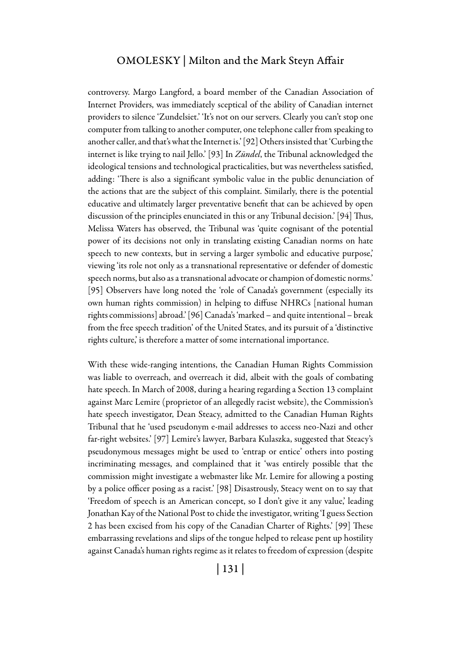controversy. Margo Langford, a board member of the Canadian Association of Internet Providers, was immediately sceptical of the ability of Canadian internet providers to silence 'Zundelsiet.' 'It's not on our servers. Clearly you can't stop one computer from talking to another computer, one telephone caller from speaking to another caller, and that's what the Internet is.' [92] Others insisted that 'Curbing the internet is like trying to nail Jello.' [93] In *Zündel*, the Tribunal acknowledged the ideological tensions and technological practicalities, but was nevertheless satisfied, adding: 'There is also a significant symbolic value in the public denunciation of the actions that are the subject of this complaint. Similarly, there is the potential educative and ultimately larger preventative benefit that can be achieved by open discussion of the principles enunciated in this or any Tribunal decision.' [94] Thus, Melissa Waters has observed, the Tribunal was 'quite cognisant of the potential power of its decisions not only in translating existing Canadian norms on hate speech to new contexts, but in serving a larger symbolic and educative purpose,' viewing 'its role not only as a transnational representative or defender of domestic speech norms, but also as a transnational advocate or champion of domestic norms.' [95] Observers have long noted the 'role of Canada's government (especially its own human rights commission) in helping to diffuse NHRCs [national human rights commissions] abroad.' [96] Canada's 'marked – and quite intentional – break from the free speech tradition' of the United States, and its pursuit of a 'distinctive rights culture,' is therefore a matter of some international importance.

With these wide-ranging intentions, the Canadian Human Rights Commission was liable to overreach, and overreach it did, albeit with the goals of combating hate speech. In March of 2008, during a hearing regarding a Section 13 complaint against Marc Lemire (proprietor of an allegedly racist website), the Commission's hate speech investigator, Dean Steacy, admitted to the Canadian Human Rights Tribunal that he 'used pseudonym e-mail addresses to access neo-Nazi and other far-right websites.' [97] Lemire's lawyer, Barbara Kulaszka, suggested that Steacy's pseudonymous messages might be used to 'entrap or entice' others into posting incriminating messages, and complained that it 'was entirely possible that the commission might investigate a webmaster like Mr. Lemire for allowing a posting by a police officer posing as a racist.' [98] Disastrously, Steacy went on to say that 'Freedom of speech is an American concept, so I don't give it any value,' leading Jonathan Kay of the National Post to chide the investigator, writing 'I guess Section 2 has been excised from his copy of the Canadian Charter of Rights.' [99] These embarrassing revelations and slips of the tongue helped to release pent up hostility against Canada's human rights regime as it relates to freedom of expression (despite

| 131 |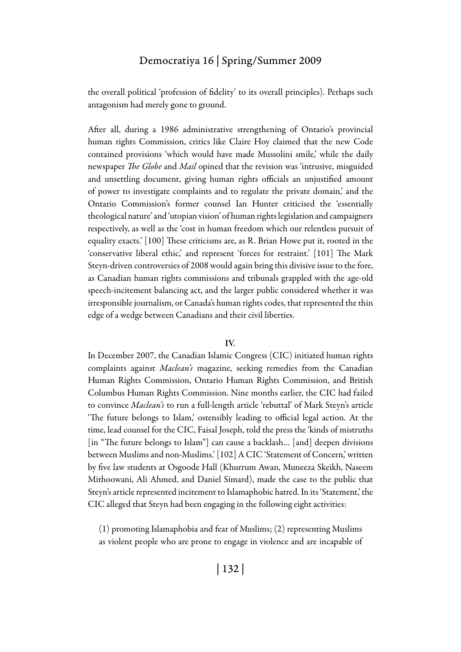the overall political 'profession of fidelity' to its overall principles). Perhaps such antagonism had merely gone to ground.

After all, during a 1986 administrative strengthening of Ontario's provincial human rights Commission, critics like Claire Hoy claimed that the new Code contained provisions 'which would have made Mussolini smile,' while the daily newspaper *The Globe* and *Mail* opined that the revision was 'intrusive, misguided and unsettling document, giving human rights officials an unjustified amount of power to investigate complaints and to regulate the private domain,' and the Ontario Commission's former counsel Ian Hunter criticised the 'essentially theological nature' and 'utopian vision' of human rights legislation and campaigners respectively, as well as the 'cost in human freedom which our relentless pursuit of equality exacts.' [100] These criticisms are, as R. Brian Howe put it, rooted in the 'conservative liberal ethic,' and represent 'forces for restraint.' [101] The Mark Steyn-driven controversies of 2008 would again bring this divisive issue to the fore, as Canadian human rights commissions and tribunals grappled with the age-old speech-incitement balancing act, and the larger public considered whether it was irresponsible journalism, or Canada's human rights codes, that represented the thin edge of a wedge between Canadians and their civil liberties.

#### IV.

In December 2007, the Canadian Islamic Congress (CIC) initiated human rights complaints against *Maclean's* magazine, seeking remedies from the Canadian Human Rights Commission, Ontario Human Rights Commission, and British Columbus Human Rights Commission. Nine months earlier, the CIC had failed to convince *Maclean's* to run a full-length article 'rebuttal' of Mark Steyn's article 'The future belongs to Islam,' ostensibly leading to official legal action. At the time, lead counsel for the CIC, Faisal Joseph, told the press the 'kinds of mistruths [in "The future belongs to Islam"] can cause a backlash... [and] deepen divisions between Muslims and non-Muslims.' [102] A CIC 'Statement of Concern,' written by five law students at Osgoode Hall (Khurrum Awan, Muneeza Skeikh, Naseem Mithoowani, Ali Ahmed, and Daniel Simard), made the case to the public that Steyn's article represented incitement to Islamaphobic hatred. In its 'Statement,' the CIC alleged that Steyn had been engaging in the following eight activities:

(1) promoting Islamaphobia and fear of Muslims; (2) representing Muslims as violent people who are prone to engage in violence and are incapable of

| 132 |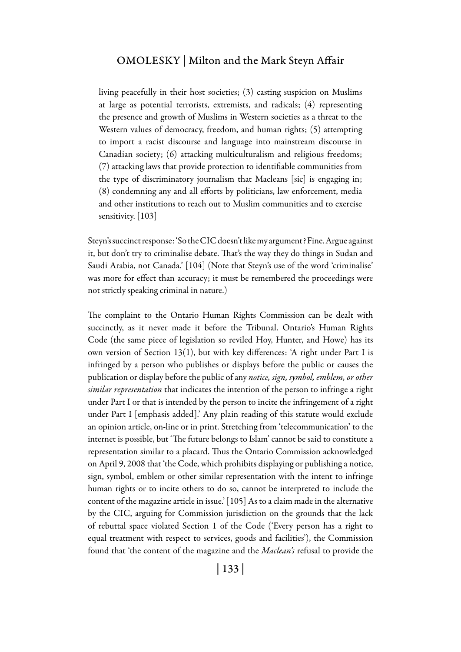living peacefully in their host societies; (3) casting suspicion on Muslims at large as potential terrorists, extremists, and radicals; (4) representing the presence and growth of Muslims in Western societies as a threat to the Western values of democracy, freedom, and human rights; (5) attempting to import a racist discourse and language into mainstream discourse in Canadian society; (6) attacking multiculturalism and religious freedoms; (7) attacking laws that provide protection to identifiable communities from the type of discriminatory journalism that Macleans [sic] is engaging in; (8) condemning any and all efforts by politicians, law enforcement, media and other institutions to reach out to Muslim communities and to exercise sensitivity. [103]

Steyn's succinct response: 'So the CIC doesn't like my argument? Fine. Argue against it, but don't try to criminalise debate. That's the way they do things in Sudan and Saudi Arabia, not Canada.' [104] (Note that Steyn's use of the word 'criminalise' was more for effect than accuracy; it must be remembered the proceedings were not strictly speaking criminal in nature.)

The complaint to the Ontario Human Rights Commission can be dealt with succinctly, as it never made it before the Tribunal. Ontario's Human Rights Code (the same piece of legislation so reviled Hoy, Hunter, and Howe) has its own version of Section 13(1), but with key differences: 'A right under Part I is infringed by a person who publishes or displays before the public or causes the publication or display before the public of any *notice, sign, symbol, emblem, or other similar representation* that indicates the intention of the person to infringe a right under Part I or that is intended by the person to incite the infringement of a right under Part I [emphasis added].' Any plain reading of this statute would exclude an opinion article, on-line or in print. Stretching from 'telecommunication' to the internet is possible, but 'The future belongs to Islam' cannot be said to constitute a representation similar to a placard. Thus the Ontario Commission acknowledged on April 9, 2008 that 'the Code, which prohibits displaying or publishing a notice, sign, symbol, emblem or other similar representation with the intent to infringe human rights or to incite others to do so, cannot be interpreted to include the content of the magazine article in issue.' [105] As to a claim made in the alternative by the CIC, arguing for Commission jurisdiction on the grounds that the lack of rebuttal space violated Section 1 of the Code ('Every person has a right to equal treatment with respect to services, goods and facilities'), the Commission found that 'the content of the magazine and the *Maclean's* refusal to provide the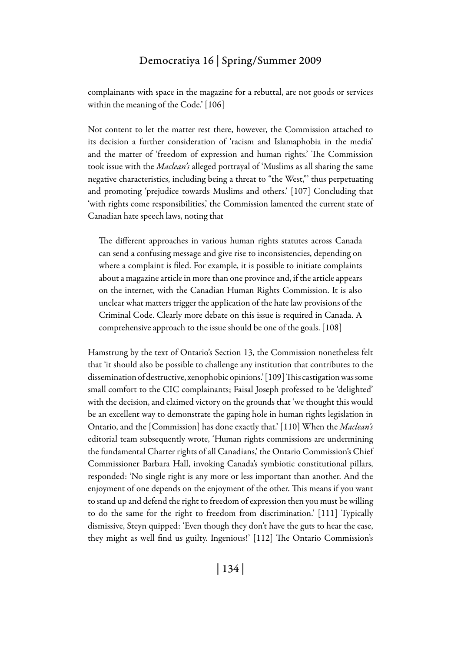complainants with space in the magazine for a rebuttal, are not goods or services within the meaning of the Code.' [106]

Not content to let the matter rest there, however, the Commission attached to its decision a further consideration of 'racism and Islamaphobia in the media' and the matter of 'freedom of expression and human rights.' The Commission took issue with the *Maclean's* alleged portrayal of 'Muslims as all sharing the same negative characteristics, including being a threat to "the West,"' thus perpetuating and promoting 'prejudice towards Muslims and others.' [107] Concluding that 'with rights come responsibilities,' the Commission lamented the current state of Canadian hate speech laws, noting that

The different approaches in various human rights statutes across Canada can send a confusing message and give rise to inconsistencies, depending on where a complaint is filed. For example, it is possible to initiate complaints about a magazine article in more than one province and, if the article appears on the internet, with the Canadian Human Rights Commission. It is also unclear what matters trigger the application of the hate law provisions of the Criminal Code. Clearly more debate on this issue is required in Canada. A comprehensive approach to the issue should be one of the goals. [108]

Hamstrung by the text of Ontario's Section 13, the Commission nonetheless felt that 'it should also be possible to challenge any institution that contributes to the dissemination of destructive, xenophobic opinions.' [109] This castigation was some small comfort to the CIC complainants; Faisal Joseph professed to be 'delighted' with the decision, and claimed victory on the grounds that 'we thought this would be an excellent way to demonstrate the gaping hole in human rights legislation in Ontario, and the [Commission] has done exactly that.' [110] When the *Maclean's* editorial team subsequently wrote, 'Human rights commissions are undermining the fundamental Charter rights of all Canadians,' the Ontario Commission's Chief Commissioner Barbara Hall, invoking Canada's symbiotic constitutional pillars, responded: 'No single right is any more or less important than another. And the enjoyment of one depends on the enjoyment of the other. This means if you want to stand up and defend the right to freedom of expression then you must be willing to do the same for the right to freedom from discrimination.' [111] Typically dismissive, Steyn quipped: 'Even though they don't have the guts to hear the case, they might as well find us guilty. Ingenious!' [112] The Ontario Commission's

| 134 |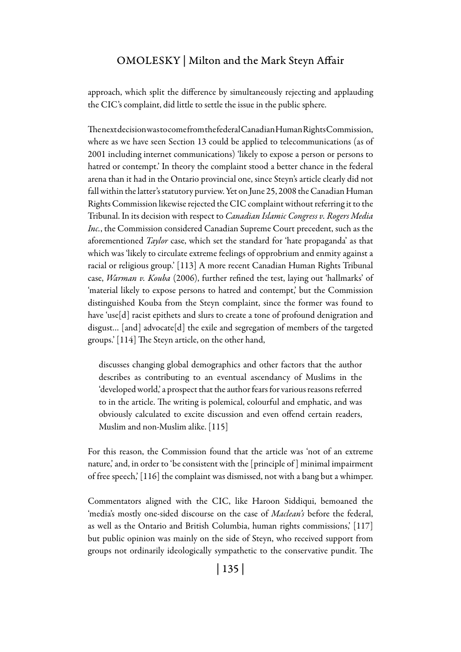approach, which split the difference by simultaneously rejecting and applauding the CIC's complaint, did little to settle the issue in the public sphere.

The next decision was to come from the federal Canadian Human Rights Commission, where as we have seen Section 13 could be applied to telecommunications (as of 2001 including internet communications) 'likely to expose a person or persons to hatred or contempt.' In theory the complaint stood a better chance in the federal arena than it had in the Ontario provincial one, since Steyn's article clearly did not fall within the latter's statutory purview. Yet on June 25, 2008 the Canadian Human Rights Commission likewise rejected the CIC complaint without referring it to the Tribunal. In its decision with respect to *Canadian Islamic Congress v. Rogers Media Inc.*, the Commission considered Canadian Supreme Court precedent, such as the aforementioned *Taylor* case, which set the standard for 'hate propaganda' as that which was 'likely to circulate extreme feelings of opprobrium and enmity against a racial or religious group.' [113] A more recent Canadian Human Rights Tribunal case, *Warman v. Kouba* (2006), further refined the test, laying out 'hallmarks' of 'material likely to expose persons to hatred and contempt,' but the Commission distinguished Kouba from the Steyn complaint, since the former was found to have 'use[d] racist epithets and slurs to create a tone of profound denigration and disgust… [and] advocate[d] the exile and segregation of members of the targeted groups.' [114] The Steyn article, on the other hand,

discusses changing global demographics and other factors that the author describes as contributing to an eventual ascendancy of Muslims in the 'developed world,' a prospect that the author fears for various reasons referred to in the article. The writing is polemical, colourful and emphatic, and was obviously calculated to excite discussion and even offend certain readers, Muslim and non-Muslim alike. [115]

For this reason, the Commission found that the article was 'not of an extreme nature,' and, in order to 'be consistent with the [principle of ] minimal impairment of free speech,' [116] the complaint was dismissed, not with a bang but a whimper.

Commentators aligned with the CIC, like Haroon Siddiqui, bemoaned the 'media's mostly one-sided discourse on the case of *Maclean's* before the federal, as well as the Ontario and British Columbia, human rights commissions,' [117] but public opinion was mainly on the side of Steyn, who received support from groups not ordinarily ideologically sympathetic to the conservative pundit. The

| 135 |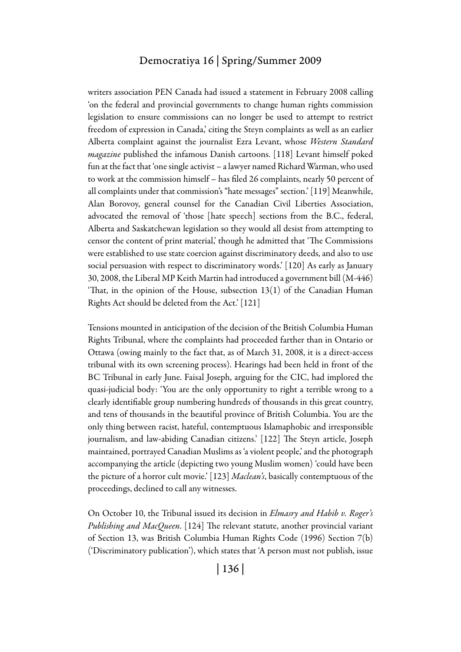writers association PEN Canada had issued a statement in February 2008 calling 'on the federal and provincial governments to change human rights commission legislation to ensure commissions can no longer be used to attempt to restrict freedom of expression in Canada,' citing the Steyn complaints as well as an earlier Alberta complaint against the journalist Ezra Levant, whose *Western Standard magazine* published the infamous Danish cartoons. [118] Levant himself poked fun at the fact that 'one single activist – a lawyer named Richard Warman, who used to work at the commission himself – has filed 26 complaints, nearly 50 percent of all complaints under that commission's "hate messages" section.' [119] Meanwhile, Alan Borovoy, general counsel for the Canadian Civil Liberties Association, advocated the removal of 'those [hate speech] sections from the B.C., federal, Alberta and Saskatchewan legislation so they would all desist from attempting to censor the content of print material,' though he admitted that 'The Commissions were established to use state coercion against discriminatory deeds, and also to use social persuasion with respect to discriminatory words.' [120] As early as January 30, 2008, the Liberal MP Keith Martin had introduced a government bill (M-446) 'That, in the opinion of the House, subsection  $13(1)$  of the Canadian Human Rights Act should be deleted from the Act.' [121]

Tensions mounted in anticipation of the decision of the British Columbia Human Rights Tribunal, where the complaints had proceeded farther than in Ontario or Ottawa (owing mainly to the fact that, as of March 31, 2008, it is a direct-access tribunal with its own screening process). Hearings had been held in front of the BC Tribunal in early June. Faisal Joseph, arguing for the CIC, had implored the quasi-judicial body: 'You are the only opportunity to right a terrible wrong to a clearly identifiable group numbering hundreds of thousands in this great country, and tens of thousands in the beautiful province of British Columbia. You are the only thing between racist, hateful, contemptuous Islamaphobic and irresponsible journalism, and law-abiding Canadian citizens.' [122] The Steyn article, Joseph maintained, portrayed Canadian Muslims as 'a violent people,' and the photograph accompanying the article (depicting two young Muslim women) 'could have been the picture of a horror cult movie.' [123] *Maclean's*, basically contemptuous of the proceedings, declined to call any witnesses.

On October 10, the Tribunal issued its decision in *Elmasry and Habib v. Roger's Publishing and MacQueen*. [124] The relevant statute, another provincial variant of Section 13, was British Columbia Human Rights Code (1996) Section 7(b) ('Discriminatory publication'), which states that 'A person must not publish, issue

| 136 |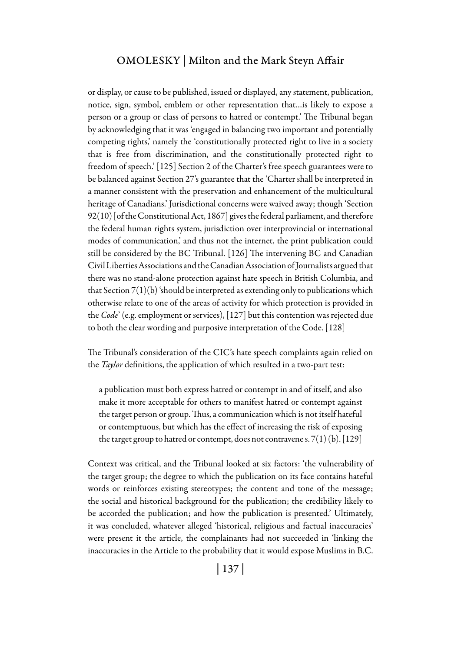or display, or cause to be published, issued or displayed, any statement, publication, notice, sign, symbol, emblem or other representation that…is likely to expose a person or a group or class of persons to hatred or contempt.' The Tribunal began by acknowledging that it was 'engaged in balancing two important and potentially competing rights,' namely the 'constitutionally protected right to live in a society that is free from discrimination, and the constitutionally protected right to freedom of speech.' [125] Section 2 of the Charter's free speech guarantees were to be balanced against Section 27's guarantee that the 'Charter shall be interpreted in a manner consistent with the preservation and enhancement of the multicultural heritage of Canadians.' Jurisdictional concerns were waived away; though 'Section 92(10) [of the Constitutional Act, 1867] gives the federal parliament, and therefore the federal human rights system, jurisdiction over interprovincial or international modes of communication,' and thus not the internet, the print publication could still be considered by the BC Tribunal. [126] The intervening BC and Canadian Civil Liberties Associations and the Canadian Association of Journalists argued that there was no stand-alone protection against hate speech in British Columbia, and that Section  $7(1)(b)$  'should be interpreted as extending only to publications which otherwise relate to one of the areas of activity for which protection is provided in the *Code*' (e.g. employment or services), [127] but this contention was rejected due to both the clear wording and purposive interpretation of the Code. [128]

The Tribunal's consideration of the CIC's hate speech complaints again relied on the *Taylor* definitions, the application of which resulted in a two-part test:

a publication must both express hatred or contempt in and of itself, and also make it more acceptable for others to manifest hatred or contempt against the target person or group. Thus, a communication which is not itself hateful or contemptuous, but which has the effect of increasing the risk of exposing the target group to hatred or contempt, does not contravene s.  $7(1)(b)$ . [129]

Context was critical, and the Tribunal looked at six factors: 'the vulnerability of the target group; the degree to which the publication on its face contains hateful words or reinforces existing stereotypes; the content and tone of the message; the social and historical background for the publication; the credibility likely to be accorded the publication; and how the publication is presented.' Ultimately, it was concluded, whatever alleged 'historical, religious and factual inaccuracies' were present it the article, the complainants had not succeeded in 'linking the inaccuracies in the Article to the probability that it would expose Muslims in B.C.

| 137 |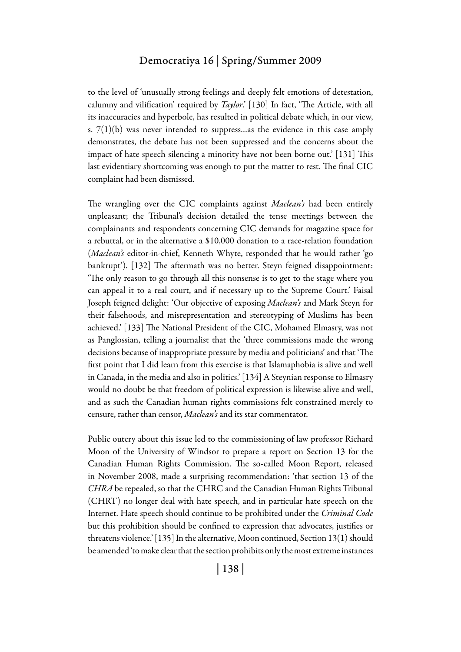to the level of 'unusually strong feelings and deeply felt emotions of detestation, calumny and vilification' required by *Taylor*.' [130] In fact, 'The Article, with all its inaccuracies and hyperbole, has resulted in political debate which, in our view, s.  $7(1)(b)$  was never intended to suppress...as the evidence in this case amply demonstrates, the debate has not been suppressed and the concerns about the impact of hate speech silencing a minority have not been borne out.' [131] This last evidentiary shortcoming was enough to put the matter to rest. The final CIC complaint had been dismissed.

The wrangling over the CIC complaints against *Maclean's* had been entirely unpleasant; the Tribunal's decision detailed the tense meetings between the complainants and respondents concerning CIC demands for magazine space for a rebuttal, or in the alternative a \$10,000 donation to a race-relation foundation (*Maclean's* editor-in-chief, Kenneth Whyte, responded that he would rather 'go bankrupt'). [132] The aftermath was no better. Steyn feigned disappointment: 'The only reason to go through all this nonsense is to get to the stage where you can appeal it to a real court, and if necessary up to the Supreme Court.' Faisal Joseph feigned delight: 'Our objective of exposing *Maclean's* and Mark Steyn for their falsehoods, and misrepresentation and stereotyping of Muslims has been achieved.' [133] The National President of the CIC, Mohamed Elmasry, was not as Panglossian, telling a journalist that the 'three commissions made the wrong decisions because of inappropriate pressure by media and politicians' and that 'The first point that I did learn from this exercise is that Islamaphobia is alive and well in Canada, in the media and also in politics.' [134] A Steynian response to Elmasry would no doubt be that freedom of political expression is likewise alive and well, and as such the Canadian human rights commissions felt constrained merely to censure, rather than censor, *Maclean's* and its star commentator.

Public outcry about this issue led to the commissioning of law professor Richard Moon of the University of Windsor to prepare a report on Section 13 for the Canadian Human Rights Commission. The so-called Moon Report, released in November 2008, made a surprising recommendation: 'that section 13 of the *CHRA* be repealed, so that the CHRC and the Canadian Human Rights Tribunal (CHRT) no longer deal with hate speech, and in particular hate speech on the Internet. Hate speech should continue to be prohibited under the *Criminal Code*  but this prohibition should be confined to expression that advocates, justifies or threatens violence.' [135] In the alternative, Moon continued, Section 13(1) should be amended 'to make clear that the section prohibits only the most extreme instances

| 138 |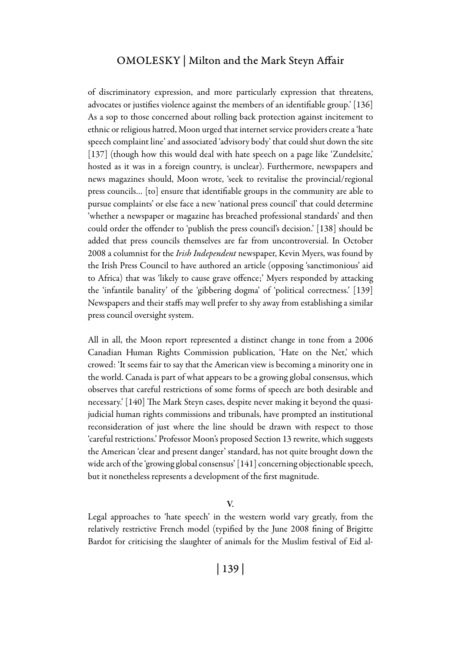of discriminatory expression, and more particularly expression that threatens, advocates or justifies violence against the members of an identifiable group.' [136] As a sop to those concerned about rolling back protection against incitement to ethnic or religious hatred, Moon urged that internet service providers create a 'hate speech complaint line' and associated 'advisory body' that could shut down the site [137] (though how this would deal with hate speech on a page like 'Zundelsite', hosted as it was in a foreign country, is unclear). Furthermore, newspapers and news magazines should, Moon wrote, 'seek to revitalise the provincial/regional press councils… [to] ensure that identifiable groups in the community are able to pursue complaints' or else face a new 'national press council' that could determine 'whether a newspaper or magazine has breached professional standards' and then could order the offender to 'publish the press council's decision.' [138] should be added that press councils themselves are far from uncontroversial. In October 2008 a columnist for the *Irish Independent* newspaper, Kevin Myers, was found by the Irish Press Council to have authored an article (opposing 'sanctimonious' aid to Africa) that was 'likely to cause grave offence;' Myers responded by attacking the 'infantile banality' of the 'gibbering dogma' of 'political correctness.' [139] Newspapers and their staffs may well prefer to shy away from establishing a similar press council oversight system.

All in all, the Moon report represented a distinct change in tone from a 2006 Canadian Human Rights Commission publication, 'Hate on the Net,' which crowed: 'It seems fair to say that the American view is becoming a minority one in the world. Canada is part of what appears to be a growing global consensus, which observes that careful restrictions of some forms of speech are both desirable and necessary.' [140] The Mark Steyn cases, despite never making it beyond the quasijudicial human rights commissions and tribunals, have prompted an institutional reconsideration of just where the line should be drawn with respect to those 'careful restrictions.' Professor Moon's proposed Section 13 rewrite, which suggests the American 'clear and present danger' standard, has not quite brought down the wide arch of the 'growing global consensus' [141] concerning objectionable speech, but it nonetheless represents a development of the first magnitude.

V.

Legal approaches to 'hate speech' in the western world vary greatly, from the relatively restrictive French model (typified by the June 2008 fining of Brigitte Bardot for criticising the slaughter of animals for the Muslim festival of Eid al-

| 139 |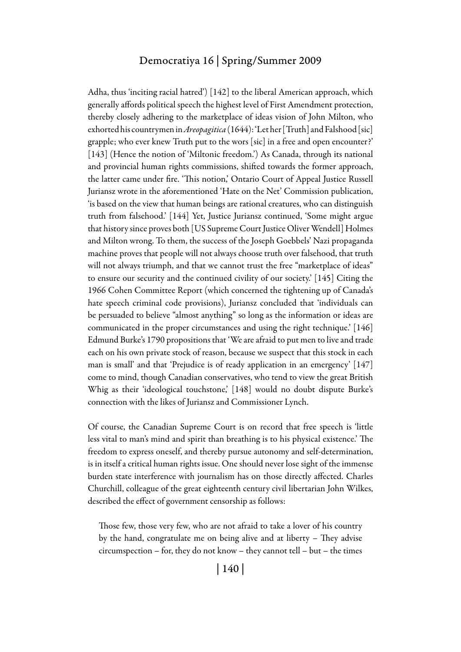Adha, thus 'inciting racial hatred') [142] to the liberal American approach, which generally affords political speech the highest level of First Amendment protection, thereby closely adhering to the marketplace of ideas vision of John Milton, who exhorted his countrymen in *Areopagitica* (1644): 'Let her [Truth] and Falshood [sic] grapple; who ever knew Truth put to the wors [sic] in a free and open encounter?' [143] (Hence the notion of 'Miltonic freedom.') As Canada, through its national and provincial human rights commissions, shifted towards the former approach, the latter came under fire. 'This notion,' Ontario Court of Appeal Justice Russell Juriansz wrote in the aforementioned 'Hate on the Net' Commission publication, 'is based on the view that human beings are rational creatures, who can distinguish truth from falsehood.' [144] Yet, Justice Juriansz continued, 'Some might argue that history since proves both [US Supreme Court Justice Oliver Wendell] Holmes and Milton wrong. To them, the success of the Joseph Goebbels' Nazi propaganda machine proves that people will not always choose truth over falsehood, that truth will not always triumph, and that we cannot trust the free "marketplace of ideas" to ensure our security and the continued civility of our society.' [145] Citing the 1966 Cohen Committee Report (which concerned the tightening up of Canada's hate speech criminal code provisions), Juriansz concluded that 'individuals can be persuaded to believe "almost anything" so long as the information or ideas are communicated in the proper circumstances and using the right technique.' [146] Edmund Burke's 1790 propositions that 'We are afraid to put men to live and trade each on his own private stock of reason, because we suspect that this stock in each man is small' and that 'Prejudice is of ready application in an emergency' [147] come to mind, though Canadian conservatives, who tend to view the great British Whig as their 'ideological touchstone,' [148] would no doubt dispute Burke's connection with the likes of Juriansz and Commissioner Lynch.

Of course, the Canadian Supreme Court is on record that free speech is 'little less vital to man's mind and spirit than breathing is to his physical existence.' The freedom to express oneself, and thereby pursue autonomy and self-determination, is in itself a critical human rights issue. One should never lose sight of the immense burden state interference with journalism has on those directly affected. Charles Churchill, colleague of the great eighteenth century civil libertarian John Wilkes, described the effect of government censorship as follows:

Those few, those very few, who are not afraid to take a lover of his country by the hand, congratulate me on being alive and at liberty – They advise circumspection – for, they do not know – they cannot tell – but – the times

| 140 |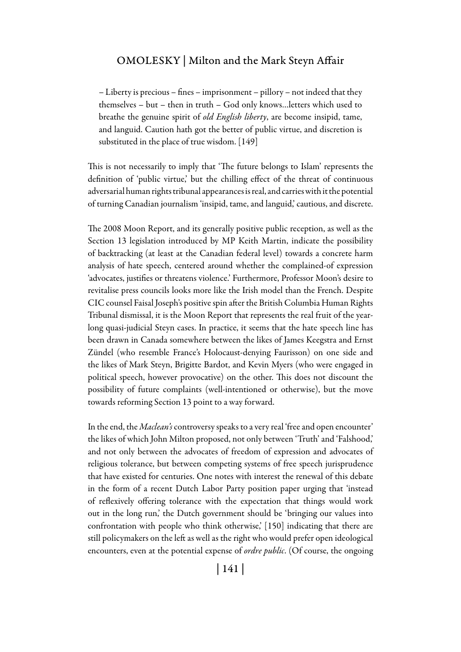– Liberty is precious – fines – imprisonment – pillory – not indeed that they themselves – but – then in truth – God only knows…letters which used to breathe the genuine spirit of *old English liberty*, are become insipid, tame, and languid. Caution hath got the better of public virtue, and discretion is substituted in the place of true wisdom. [149]

This is not necessarily to imply that 'The future belongs to Islam' represents the definition of 'public virtue,' but the chilling effect of the threat of continuous adversarial human rights tribunal appearances is real, and carries with it the potential of turning Canadian journalism 'insipid, tame, and languid,' cautious, and discrete.

The 2008 Moon Report, and its generally positive public reception, as well as the Section 13 legislation introduced by MP Keith Martin, indicate the possibility of backtracking (at least at the Canadian federal level) towards a concrete harm analysis of hate speech, centered around whether the complained-of expression 'advocates, justifies or threatens violence.' Furthermore, Professor Moon's desire to revitalise press councils looks more like the Irish model than the French. Despite CIC counsel Faisal Joseph's positive spin after the British Columbia Human Rights Tribunal dismissal, it is the Moon Report that represents the real fruit of the yearlong quasi-judicial Steyn cases. In practice, it seems that the hate speech line has been drawn in Canada somewhere between the likes of James Keegstra and Ernst Zündel (who resemble France's Holocaust-denying Faurisson) on one side and the likes of Mark Steyn, Brigitte Bardot, and Kevin Myers (who were engaged in political speech, however provocative) on the other. This does not discount the possibility of future complaints (well-intentioned or otherwise), but the move towards reforming Section 13 point to a way forward.

In the end, the *Maclean's* controversy speaks to a very real 'free and open encounter' the likes of which John Milton proposed, not only between 'Truth' and 'Falshood,' and not only between the advocates of freedom of expression and advocates of religious tolerance, but between competing systems of free speech jurisprudence that have existed for centuries. One notes with interest the renewal of this debate in the form of a recent Dutch Labor Party position paper urging that 'instead of reflexively offering tolerance with the expectation that things would work out in the long run,' the Dutch government should be 'bringing our values into confrontation with people who think otherwise,' [150] indicating that there are still policymakers on the left as well as the right who would prefer open ideological encounters, even at the potential expense of *ordre public*. (Of course, the ongoing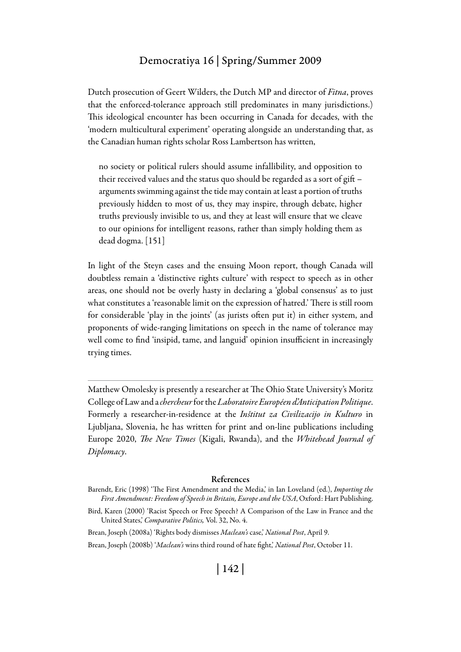Dutch prosecution of Geert Wilders, the Dutch MP and director of *Fitna*, proves that the enforced-tolerance approach still predominates in many jurisdictions.) This ideological encounter has been occurring in Canada for decades, with the 'modern multicultural experiment' operating alongside an understanding that, as the Canadian human rights scholar Ross Lambertson has written,

no society or political rulers should assume infallibility, and opposition to their received values and the status quo should be regarded as a sort of gift – arguments swimming against the tide may contain at least a portion of truths previously hidden to most of us, they may inspire, through debate, higher truths previously invisible to us, and they at least will ensure that we cleave to our opinions for intelligent reasons, rather than simply holding them as dead dogma. [151]

In light of the Steyn cases and the ensuing Moon report, though Canada will doubtless remain a 'distinctive rights culture' with respect to speech as in other areas, one should not be overly hasty in declaring a 'global consensus' as to just what constitutes a 'reasonable limit on the expression of hatred.' There is still room for considerable 'play in the joints' (as jurists often put it) in either system, and proponents of wide-ranging limitations on speech in the name of tolerance may well come to find 'insipid, tame, and languid' opinion insufficient in increasingly trying times.

Matthew Omolesky is presently a researcher at The Ohio State University's Moritz College of Law and a *chercheur* for the *Laboratoire Européen d'Anticipation Politique*. Formerly a researcher-in-residence at the *Inštitut za Civilizacijo in Kulturo* in Ljubljana, Slovenia, he has written for print and on-line publications including Europe 2020, *The New Times* (Kigali, Rwanda), and the *Whitehead Journal of Diplomacy*.

#### References

- Barendt, Eric (1998) 'The First Amendment and the Media,' in Ian Loveland (ed.), *Importing the First Amendment: Freedom of Speech in Britain, Europe and the USA*, Oxford: Hart Publishing.
- Bird, Karen (2000) 'Racist Speech or Free Speech? A Comparison of the Law in France and the United States,' *Comparative Politics,* Vol. 32, No. 4.

Brean, Joseph (2008a) 'Rights body dismisses *Maclean's* case,' *National Post*, April 9.

Brean, Joseph (2008b) '*Maclean's* wins third round of hate fight,' *National Post*, October 11.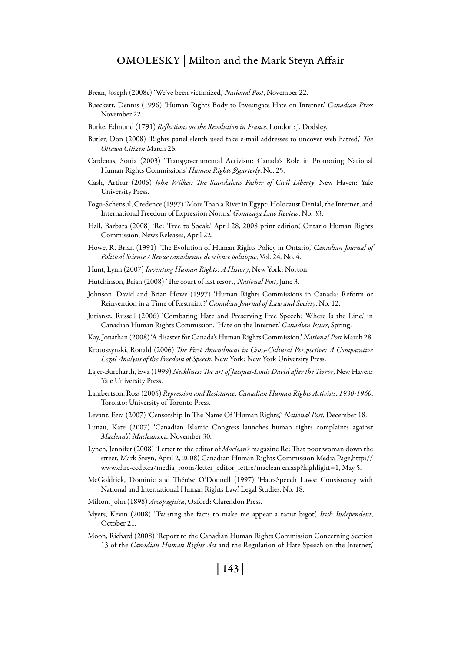Brean, Joseph (2008c) 'We've been victimized,' *National Post*, November 22.

- Bueckert, Dennis (1996) 'Human Rights Body to Investigate Hate on Internet,' *Canadian Press* November 22.
- Burke, Edmund (1791) *Reflections on the Revolution in France*, London: J. Dodsley.
- Butler, Don (2008) 'Rights panel sleuth used fake e-mail addresses to uncover web hatred,' *The Ottawa Citizen* March 26.
- Cardenas, Sonia (2003) 'Transgovernmental Activism: Canada's Role in Promoting National Human Rights Commissions' *Human Rights Quarterly*, No. 25.
- Cash, Arthur (2006) *John Wilkes: The Scandalous Father of Civil Liberty*, New Haven: Yale University Press.
- Fogo-Schensul, Credence (1997) 'More Than a River in Egypt: Holocaust Denial, the Internet, and International Freedom of Expression Norms,' *Gonazaga Law Review*, No. 33.
- Hall, Barbara (2008) 'Re: 'Free to Speak,' April 28, 2008 print edition,' Ontario Human Rights Commission, News Releases, April 22.
- Howe, R. Brian (1991) 'The Evolution of Human Rights Policy in Ontario,' *Canadian Journal of Political Science / Revue canadienne de science politique*, Vol. 24, No. 4.
- Hunt, Lynn (2007) *Inventing Human Rights: A History*, New York: Norton.
- Hutchinson, Brian (2008) 'The court of last resort,' *National Post*, June 3.
- Johnson, David and Brian Howe (1997) 'Human Rights Commissions in Canada: Reform or Reinvention in a Time of Restraint?' *Canadian Journal of Law and Society*, No. 12.
- Juriansz, Russell (2006) 'Combating Hate and Preserving Free Speech: Where Is the Line,' in Canadian Human Rights Commission, 'Hate on the Internet,' *Canadian Issues*, Spring.
- Kay, Jonathan (2008) 'A disaster for Canada's Human Rights Commission,' *National Post* March 28.
- Krotoszynski, Ronald (2006) *The First Amendment in Cross-Cultural Perspective: A Comparative Legal Analysis of the Freedom of Speech*, New York: New York University Press.
- Lajer-Burcharth, Ewa (1999) *Necklines: The art of Jacques-Louis David after the Terror*, New Haven: Yale University Press.
- Lambertson, Ross (2005) *Repression and Resistance: Canadian Human Rights Activists, 1930-1960*, Toronto: University of Toronto Press.
- Levant, Ezra (2007) 'Censorship In The Name Of 'Human Rights,'' *National Post*, December 18.
- Lunau, Kate (2007) 'Canadian Islamic Congress launches human rights complaints against *Maclean's*,' *Macleans*.ca, November 30.
- Lynch, Jennifer (2008) 'Letter to the editor of *Maclean's* magazine Re: That poor woman down the street, Mark Steyn, April 2, 2008,' Canadian Human Rights Commission Media Page,http:// www.chrc-ccdp.ca/media\_room/letter\_editor\_lettre/maclean en.asp?highlight=1, May 5.
- McGoldrick, Dominic and Thérèse O'Donnell (1997) 'Hate-Speech Laws: Consistency with National and International Human Rights Law,' Legal Studies, No. 18.
- Milton, John (1898) *Areopagitica*, Oxford: Clarendon Press.
- Myers, Kevin (2008) 'Twisting the facts to make me appear a racist bigot,' *Irish Independent*, October 21.
- Moon, Richard (2008) 'Report to the Canadian Human Rights Commission Concerning Section 13 of the *Canadian Human Rights Act* and the Regulation of Hate Speech on the Internet,'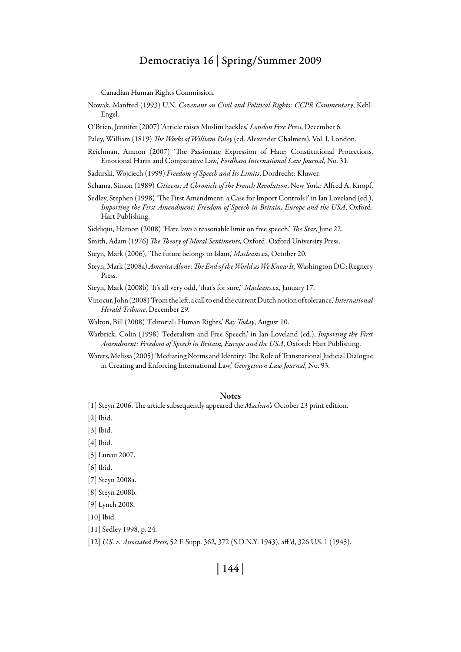Canadian Human Rights Commission.

- Nowak, Manfred (1993) U.N. *Covenant on Civil and Political Rights: CCPR Commentary*, Kehl: Engel.
- O'Brien, Jennifer (2007) 'Article raises Muslim hackles,' *London Free Press*, December 6.

Paley, William (1819) *The Works of William Paley* (ed. Alexander Chalmers), Vol. I, London.

- Reichman, Amnon (2007) 'The Passionate Expression of Hate: Constitutional Protections, Emotional Harm and Comparative Law,' *Fordham International Law Journal*, No. 31.
- Sadurski, Wojciech (1999) *Freedom of Speech and Its Limits*, Dordrecht: Kluwer.
- Schama, Simon (1989) *Citizens: A Chronicle of the French Revolution*, New York: Alfred A. Knopf.
- Sedley, Stephen (1998) 'The First Amendment: a Case for Import Controls?' in Ian Loveland (ed.), *Importing the First Amendment: Freedom of Speech in Britain, Europe and the USA*, Oxford: Hart Publishing.

Siddiqui, Haroon (2008) 'Hate laws a reasonable limit on free speech,' *The Star*, June 22.

- Smith, Adam (1976) *The Theory of Moral Sentiments,* Oxford: Oxford University Press.
- Steyn, Mark (2006), 'The future belongs to Islam,' *Macleans*.ca, October 20.
- Steyn, Mark (2008a) *America Alone: The End of the World as We Know It*, Washington DC: Regnery Press.

Steyn, Mark (2008b) 'It's all very odd, 'that's for sure,'' *Macleans*.ca, January 17.

- Vinocur, John (2008) 'From the left, a call to end the current Dutch notion of tolerance,' *International Herald Tribune*, December 29.
- Walton, Bill (2008) 'Editorial: Human Rights,' *Bay Today*, August 10.
- Warbrick, Colin (1998) 'Federalism and Free Speech,' in Ian Loveland (ed.), *Importing the First Amendment: Freedom of Speech in Britain, Europe and the USA*, Oxford: Hart Publishing.
- Waters, Melissa (2005) 'Mediating Norms and Identity: The Role of Transnational Judicial Dialogue in Creating and Enforcing International Law,' *Georgetown Law Journal*, No. 93.

#### **Notes**

[1] Steyn 2006. The article subsequently appeared the *Maclean's* October 23 print edition.

- [2] Ibid.
- [3] Ibid.
- [4] Ibid.
- [5] Lunau 2007.
- [6] Ibid.
- [7] Steyn 2008a.
- [8] Steyn 2008b.
- [9] Lynch 2008.

[10] Ibid.

- [11] Sedley 1998, p. 24.
- [12] *U.S. v. Associated Press*, 52 F. Supp. 362, 372 (S.D.N.Y. 1943), aff 'd, 326 U.S. 1 (1945).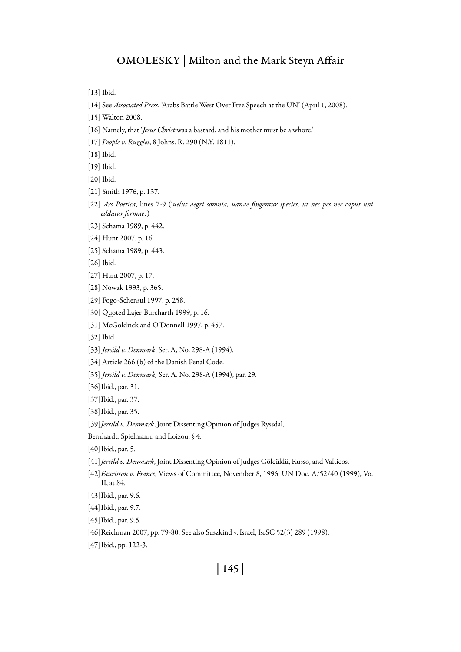[13] Ibid.

- [14] See *Associated Press*, 'Arabs Battle West Over Free Speech at the UN' (April 1, 2008).
- [15] Walton 2008.
- [16] Namely, that '*Jesus Christ* was a bastard, and his mother must be a whore.'
- [17] *People v. Ruggles*, 8 Johns. R. 290 (N.Y. 1811).
- [18] Ibid.
- [19] Ibid.
- [20] Ibid.
- [21] Smith 1976, p. 137.
- [22] *Ars Poetica*, lines 7-9 ('*uelut aegri somnia, uanae fingentur species, ut nec pes nec caput uni eddatur formae*.')
- [23] Schama 1989, p. 442.
- [24] Hunt 2007, p. 16.
- [25] Schama 1989, p. 443.
- [26] Ibid.
- [27] Hunt 2007, p. 17.
- [28] Nowak 1993, p. 365.
- [29] Fogo-Schensul 1997, p. 258.
- [30] Quoted Lajer-Burcharth 1999, p. 16.
- [31] McGoldrick and O'Donnell 1997, p. 457.
- [32] Ibid.
- [33] *Jersild v. Denmark*, Ser. A, No. 298-A (1994).
- [34] Article 266 (b) of the Danish Penal Code.
- [35] *Jersild v. Denmark,* Ser. A. No. 298-A (1994), par. 29.
- [36]Ibid., par. 31.
- [37]Ibid., par. 37.
- [38]Ibid., par. 35.
- [39]*Jersild v. Denmark*, Joint Dissenting Opinion of Judges Ryssdal,
- Bernhardt, Spielmann, and Loizou, § 4.
- [40]Ibid., par. 5.
- [41]*Jersild v. Denmark*, Joint Dissenting Opinion of Judges Gölcüklü, Russo, and Valticos.
- [42]*Faurisson v. France*, Views of Committee, November 8, 1996, UN Doc. A/52/40 (1999), Vo. II, at 84.
- [43]Ibid., par. 9.6.
- [44]Ibid., par. 9.7.
- [45]Ibid., par. 9.5.
- [46]Reichman 2007, pp. 79-80. See also Suszkind v. Israel, IsrSC 52(3) 289 (1998).
- [47]Ibid., pp. 122-3.

# | 145 |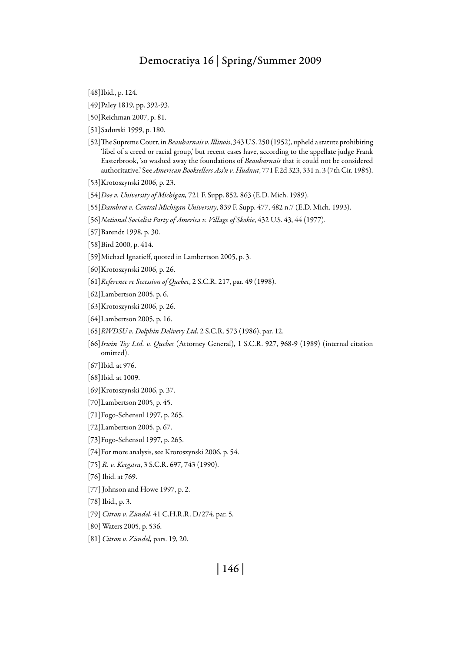[48]Ibid., p. 124.

- [49]Paley 1819, pp. 392-93.
- [50]Reichman 2007, p. 81.
- [51]Sadurski 1999, p. 180.
- [52]The Supreme Court, in *Beauharnais v. Illinois*, 343 U.S. 250 (1952), upheld a statute prohibiting 'libel of a creed or racial group,' but recent cases have, according to the appellate judge Frank Easterbrook, 'so washed away the foundations of *Beauharnais* that it could not be considered authoritative.' See *American Booksellers Ass'n v. Hudnut*, 771 F.2d 323, 331 n. 3 (7th Cir. 1985).
- [53]Krotoszynski 2006, p. 23.
- [54]*Doe v. University of Michigan,* 721 F. Supp. 852, 863 (E.D. Mich. 1989).
- [55]*Dambrot v. Central Michigan University*, 839 F. Supp. 477, 482 n.7 (E.D. Mich. 1993).
- [56]*National Socialist Party of America v. Village of Skokie*, 432 U.S. 43, 44 (1977).
- [57]Barendt 1998, p. 30.

[58]Bird 2000, p. 414.

- [59]Michael Ignatieff, quoted in Lambertson 2005, p. 3.
- [60]Krotoszynski 2006, p. 26.
- [61]*Reference re Secession of Quebec*, 2 S.C.R. 217, par. 49 (1998).
- [62]Lambertson 2005, p. 6.
- [63]Krotoszynski 2006, p. 26.
- [64]Lambertson 2005, p. 16.
- [65]*RWDSU v. Dolphin Delivery Ltd*, 2 S.C.R. 573 (1986), par. 12.
- [66]*Irwin Toy Ltd. v. Quebec* (Attorney General), 1 S.C.R. 927, 968-9 (1989) (internal citation omitted).

[67]Ibid. at 976.

- [68]Ibid. at 1009.
- [69]Krotoszynski 2006, p. 37.
- [70]Lambertson 2005, p. 45.
- [71]Fogo-Schensul 1997, p. 265.
- [72]Lambertson 2005, p. 67.
- [73]Fogo-Schensul 1997, p. 265.
- [74]For more analysis, see Krotoszynski 2006, p. 54.

[75] *R. v. Keegstra*, 3 S.C.R. 697, 743 (1990).

[76] Ibid. at 769.

[77] Johnson and Howe 1997, p. 2.

[78] Ibid., p. 3.

- [79] *Citron v. Zündel*, 41 C.H.R.R. D/274, par. 5.
- [80] Waters 2005, p. 536.

[81] *Citron v. Zündel,* pars. 19, 20.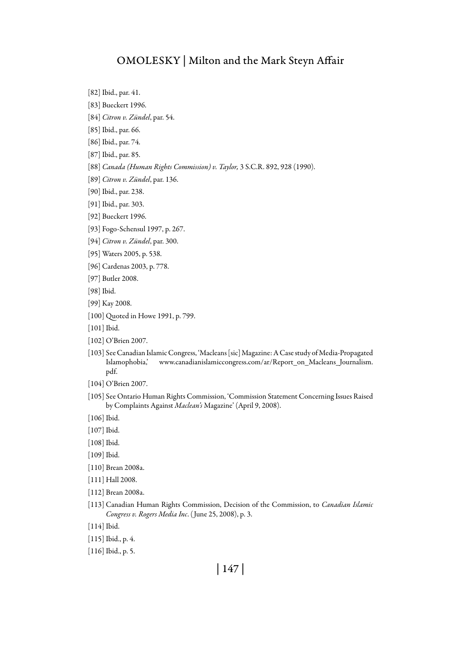[82] Ibid., par. 41.

- [83] Bueckert 1996.
- [84] *Citron v. Zündel*, par. 54.
- [85] Ibid., par. 66.
- [86] Ibid., par. 74.
- [87] Ibid., par. 85.
- [88] *Canada (Human Rights Commission) v. Taylor,* 3 S.C.R. 892, 928 (1990).
- [89] *Citron v. Zündel*, par. 136.
- [90] Ibid., par. 238.
- [91] Ibid., par. 303.
- [92] Bueckert 1996.
- [93] Fogo-Schensul 1997, p. 267.
- [94] *Citron v. Zündel*, par. 300.
- [95] Waters 2005, p. 538.
- [96] Cardenas 2003, p. 778.
- [97] Butler 2008.
- [98] Ibid.
- [99] Kay 2008.
- [100] Quoted in Howe 1991, p. 799.
- [101] Ibid.
- [102] O'Brien 2007.
- [103] See Canadian Islamic Congress, 'Macleans [sic] Magazine: A Case study of Media-Propagated Islamophobia,' www.canadianislamiccongress.com/ar/Report\_on\_Macleans\_Journalism. pdf.
- [104] O'Brien 2007.
- [105] See Ontario Human Rights Commission, 'Commission Statement Concerning Issues Raised by Complaints Against *Maclean's* Magazine' (April 9, 2008).
- [106] Ibid.
- [107] Ibid.
- [108] Ibid.
- [109] Ibid.
- [110] Brean 2008a.
- [111] Hall 2008.
- [112] Brean 2008a.
- [113] Canadian Human Rights Commission, Decision of the Commission, to *Canadian Islamic Congress v. Rogers Media Inc*. ( June 25, 2008), p. 3.
- [114] Ibid.
- [115] Ibid., p. 4.
- [116] Ibid., p. 5.

# | 147 |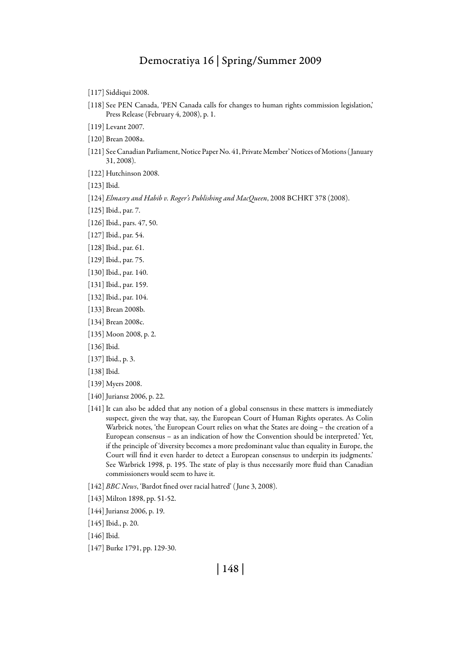- [117] Siddiqui 2008.
- [118] See PEN Canada, 'PEN Canada calls for changes to human rights commission legislation,' Press Release (February 4, 2008), p. 1.
- [119] Levant 2007.
- [120] Brean 2008a.
- [121] See Canadian Parliament, Notice Paper No. 41, Private Member' Notices of Motions ( January 31, 2008).
- [122] Hutchinson 2008.
- [123] Ibid.
- [124] *Elmasry and Habib v. Roger's Publishing and MacQueen*, 2008 BCHRT 378 (2008).
- [125] Ibid., par. 7.
- [126] Ibid., pars. 47, 50.
- [127] Ibid., par. 54.
- [128] Ibid., par. 61.
- [129] Ibid., par. 75.
- [130] Ibid., par. 140.
- [131] Ibid., par. 159.
- [132] Ibid., par. 104.
- [133] Brean 2008b.
- [134] Brean 2008c.
- [135] Moon 2008, p. 2.
- [136] Ibid.
- [137] Ibid., p. 3.
- [138] Ibid.
- [139] Myers 2008.
- [140] Juriansz 2006, p. 22.
- [141] It can also be added that any notion of a global consensus in these matters is immediately suspect, given the way that, say, the European Court of Human Rights operates. As Colin Warbrick notes, 'the European Court relies on what the States are doing – the creation of a European consensus – as an indication of how the Convention should be interpreted.' Yet, if the principle of 'diversity becomes a more predominant value than equality in Europe, the Court will find it even harder to detect a European consensus to underpin its judgments.' See Warbrick 1998, p. 195. The state of play is thus necessarily more fluid than Canadian commissioners would seem to have it.
- [142] *BBC News*, 'Bardot fined over racial hatred' ( June 3, 2008).
- [143] Milton 1898, pp. 51-52.
- [144] Juriansz 2006, p. 19.
- [145] Ibid., p. 20.
- [146] Ibid.
- [147] Burke 1791, pp. 129-30.